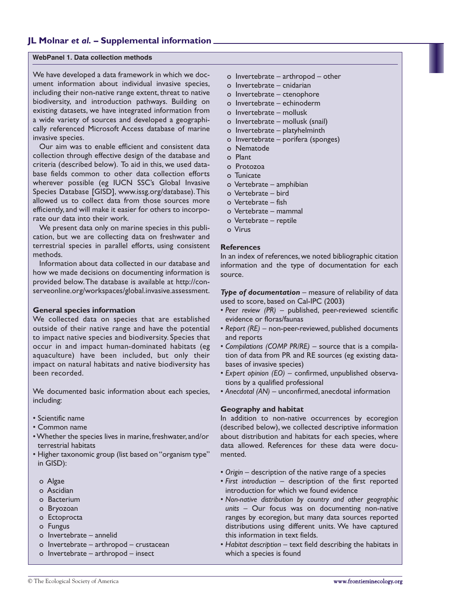## **JL Molnar** *et al.* **– Supplemental information**

### **WebPanel 1. Data collection methods**

We have developed a data framework in which we document information about individual invasive species, including their non-native range extent, threat to native biodiversity, and introduction pathways. Building on existing datasets, we have integrated information from a wide variety of sources and developed a geographically referenced Microsoft Access database of marine invasive species.

Our aim was to enable efficient and consistent data collection through effective design of the database and criteria (described below). To aid in this, we used database fields common to other data collection efforts wherever possible (eg IUCN SSC's Global Invasive Species Database [GISD], www.issg.org/database).This allowed us to collect data from those sources more efficiently, and will make it easier for others to incorporate our data into their work.

We present data only on marine species in this publication, but we are collecting data on freshwater and terrestrial species in parallel efforts, using consistent methods.

Information about data collected in our database and how we made decisions on documenting information is provided below.The database is available at http://conserveonline.org/workspaces/global.invasive.assessment.

#### **General species information**

We collected data on species that are established outside of their native range and have the potential to impact native species and biodiversity. Species that occur in and impact human-dominated habitats (eg aquaculture) have been included, but only their impact on natural habitats and native biodiversity has been recorded.

We documented basic information about each species, including:

- Scientific name
- Common name
- Whether the species lives in marine, freshwater, and/or terrestrial habitats
- Higher taxonomic group (list based on "organism type" in GISD):
	- o Algae
	- o Ascidian
	- o Bacterium
	- o Bryozoan
	- o Ectoprocta
	- o Fungus
	- o Invertebrate annelid
	- o Invertebrate arthropod crustacean
	- o Invertebrate arthropod insect
- o Invertebrate arthropod other
- o Invertebrate cnidarian
- o Invertebrate ctenophore
- o Invertebrate echinoderm
- o Invertebrate mollusk
- o Invertebrate mollusk (snail)
- o Invertebrate platyhelminth
- o Invertebrate porifera (sponges)
- o Nematode
- o Plant
- o Protozoa
- o Tunicate
- o Vertebrate amphibian
- o Vertebrate bird
- o Vertebrate fish
- o Vertebrate mammal
- o Vertebrate reptile
- o Virus

#### **References**

In an index of references, we noted bibliographic citation information and the type of documentation for each source.

*Type of documentation* – measure of reliability of data used to score, based on Cal-IPC (2003)

- *Peer review (PR)* published, peer-reviewed scientific evidence or floras/faunas
- *Report (RE)* non-peer-reviewed, published documents and reports
- *Compilations (COMP PR/RE)* source that is a compilation of data from PR and RE sources (eg existing databases of invasive species)
- *Expert opinion (EO)* confirmed, unpublished observations by a qualified professional
- *Anecdotal (AN)* unconfirmed, anecdotal information

#### **Geography and habitat**

In addition to non-native occurrences by ecoregion (described below), we collected descriptive information about distribution and habitats for each species, where data allowed. References for these data were documented.

- *Origin* description of the native range of a species
- *First introduction* description of the first reported introduction for which we found evidence
- *Non-native distribution by country and other geographic units* – Our focus was on documenting non-native ranges by ecoregion, but many data sources reported distributions using different units. We have captured this information in text fields.
- *Habitat description* text field describing the habitats in which a species is found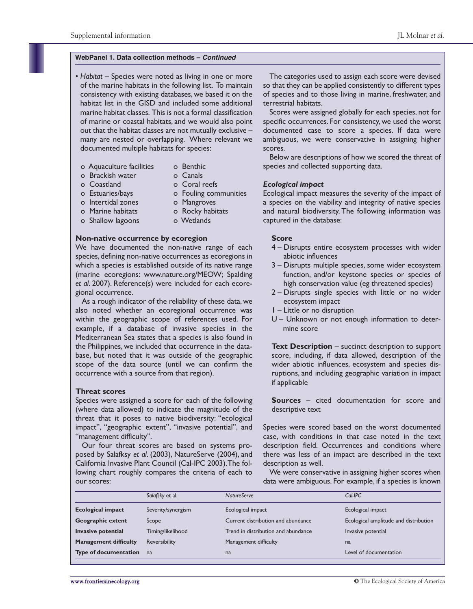- *Habitat* Species were noted as living in one or more of the marine habitats in the following list. To maintain consistency with existing databases, we based it on the habitat list in the GISD and included some additional marine habitat classes. This is not a formal classification of marine or coastal habitats, and we would also point out that the habitat classes are not mutually exclusive – many are nested or overlapping. Where relevant we documented multiple habitats for species:
	- o Aquaculture facilities o Benthic
		-
	- o Brackish water o Canals o Coastland o Coral reefs
		-
	- o Estuaries/bays o Fouling communities
	-
	- o Intertidal zones o Mangroves
	- o Marine habitats o Rocky habitats
	- o Shallow lagoons o Wetlands
- 

#### **Non-native occurrence by ecoregion**

We have documented the non-native range of each species, defining non-native occurrences as ecoregions in which a species is established outside of its native range (marine ecoregions: www.nature.org/MEOW; Spalding *et al*. 2007). Reference(s) were included for each ecoregional occurrence.

As a rough indicator of the reliability of these data, we also noted whether an ecoregional occurrence was within the geographic scope of references used. For example, if a database of invasive species in the Mediterranean Sea states that a species is also found in the Philippines, we included that occurrence in the database, but noted that it was outside of the geographic scope of the data source (until we can confirm the occurrence with a source from that region).

#### **Threat scores**

Species were assigned a score for each of the following (where data allowed) to indicate the magnitude of the threat that it poses to native biodiversity: "ecological impact", "geographic extent", "invasive potential", and "management difficulty".

Our four threat scores are based on systems proposed by Salafksy *et al*. (2003), NatureServe (2004), and California Invasive Plant Council (Cal-IPC 2003).The following chart roughly compares the criteria of each to our scores:

The categories used to assign each score were devised so that they can be applied consistently to different types of species and to those living in marine, freshwater, and terrestrial habitats.

Scores were assigned globally for each species, not for specific occurrences. For consistency, we used the worst documented case to score a species. If data were ambiguous, we were conservative in assigning higher scores.

Below are descriptions of how we scored the threat of species and collected supporting data.

#### *Ecological impact*

Ecological impact measures the severity of the impact of a species on the viability and integrity of native species and natural biodiversity. The following information was captured in the database:

#### **Score**

- 4 Disrupts entire ecosystem processes with wider abiotic influences
- 3 Disrupts multiple species, some wider ecosystem function, and/or keystone species or species of high conservation value (eg threatened species)
- 2 Disrupts single species with little or no wider ecosystem impact
- 1 Little or no disruption
- U Unknown or not enough information to determine score

**Text Description** – succinct description to support score, including, if data allowed, description of the wider abiotic influences, ecosystem and species disruptions, and including geographic variation in impact if applicable

**Sources** – cited documentation for score and descriptive text

Species were scored based on the worst documented case, with conditions in that case noted in the text description field. Occurrences and conditions where there was less of an impact are described in the text description as well.

We were conservative in assigning higher scores when data were ambiguous. For example, if a species is known

|                              | Salafsky et al.    | <b>NatureServe</b>                  | $Cal$ -IPC                            |
|------------------------------|--------------------|-------------------------------------|---------------------------------------|
| <b>Ecological impact</b>     | Severity/synergism | Ecological impact                   | Ecological impact                     |
| Geographic extent            | Scope              | Current distribution and abundance  | Ecological amplitude and distribution |
| Invasive potential           | Timing/likelihood  | Trend in distribution and abundance | Invasive potential                    |
| <b>Management difficulty</b> | Reversibility      | Management difficulty               | na                                    |
| <b>Type of documentation</b> | na                 | na                                  | Level of documentation                |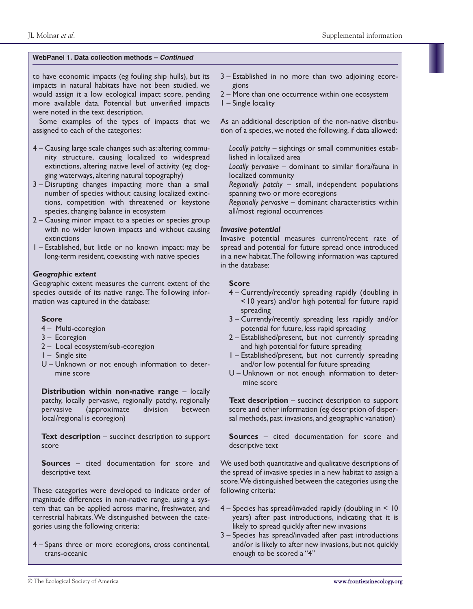to have economic impacts (eg fouling ship hulls), but its impacts in natural habitats have not been studied, we would assign it a low ecological impact score, pending more available data. Potential but unverified impacts were noted in the text description.

Some examples of the types of impacts that we assigned to each of the categories:

- 4 Causing large scale changes such as: altering community structure, causing localized to widespread extinctions, altering native level of activity (eg clogging waterways, altering natural topography)
- 3 Disrupting changes impacting more than a small number of species without causing localized extinctions, competition with threatened or keystone species, changing balance in ecosystem
- 2 Causing minor impact to a species or species group with no wider known impacts and without causing extinctions
- 1 Established, but little or no known impact; may be long-term resident, coexisting with native species

#### *Geographic extent*

Geographic extent measures the current extent of the species outside of its native range. The following information was captured in the database:

#### **Score**

- 4 Multi-ecoregion
- 3 Ecoregion
- 2 Local ecosystem/sub-ecoregion
- 1 Single site
- U Unknown or not enough information to determine score

**Distribution within non-native range** – locally patchy, locally pervasive, regionally patchy, regionally pervasive (approximate division between local/regional is ecoregion)

**Text description** – succinct description to support score

**Sources** – cited documentation for score and descriptive text

These categories were developed to indicate order of magnitude differences in non-native range, using a system that can be applied across marine, freshwater, and terrestrial habitats.We distinguished between the categories using the following criteria:

4 – Spans three or more ecoregions, cross continental, trans-oceanic

- 3 Established in no more than two adjoining ecoregions
- 2 More than one occurrence within one ecosystem
- 1 Single locality

As an additional description of the non-native distribution of a species, we noted the following, if data allowed:

- *Locally patchy* sightings or small communities established in localized area
- *Locally pervasive* dominant to similar flora/fauna in localized community
- *Regionally patchy* small, independent populations spanning two or more ecoregions
- *Regionally pervasive* dominant characteristics within all/most regional occurrences

#### *Invasive potential*

Invasive potential measures current/recent rate of spread and potential for future spread once introduced in a new habitat.The following information was captured in the database:

#### **Score**

- 4 Currently/recently spreading rapidly (doubling in < 10 years) and/or high potential for future rapid spreading
- 3 Currently/recently spreading less rapidly and/or potential for future, less rapid spreading
- 2 Established/present, but not currently spreading and high potential for future spreading
- 1 Established/present, but not currently spreading and/or low potential for future spreading
- U Unknown or not enough information to determine score

**Text description** – succinct description to support score and other information (eg description of dispersal methods, past invasions, and geographic variation)

**Sources** – cited documentation for score and descriptive text

We used both quantitative and qualitative descriptions of the spread of invasive species in a new habitat to assign a score.We distinguished between the categories using the following criteria:

- 4 Species has spread/invaded rapidly (doubling in < 10 years) after past introductions, indicating that it is likely to spread quickly after new invasions
- 3 Species has spread/invaded after past introductions and/or is likely to after new invasions, but not quickly enough to be scored a "4"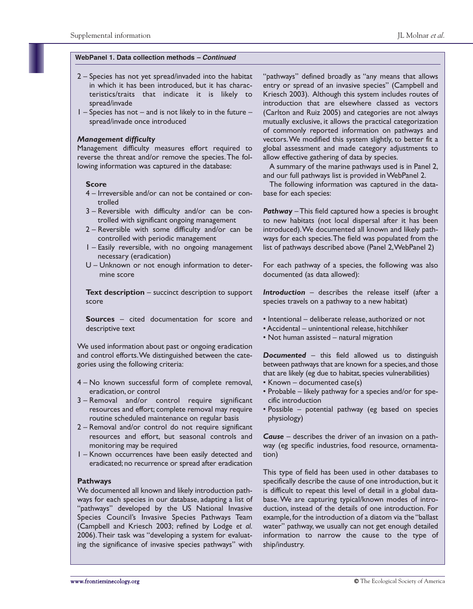- 2 Species has not yet spread/invaded into the habitat in which it has been introduced, but it has characteristics/traits that indicate it is likely to spread/invade
- 1 Species has not and is not likely to in the future spread/invade once introduced

#### *Management difficulty*

Management difficulty measures effort required to reverse the threat and/or remove the species.The following information was captured in the database:

#### **Score**

- 4 Irreversible and/or can not be contained or controlled
- 3 Reversible with difficulty and/or can be controlled with significant ongoing management
- 2 Reversible with some difficulty and/or can be controlled with periodic management
- 1 Easily reversible, with no ongoing management necessary (eradication)
- U Unknown or not enough information to determine score

**Text description** – succinct description to support score

**Sources** – cited documentation for score and descriptive text

We used information about past or ongoing eradication and control efforts.We distinguished between the categories using the following criteria:

- 4 No known successful form of complete removal, eradication, or control
- 3 Removal and/or control require significant resources and effort; complete removal may require routine scheduled maintenance on regular basis
- 2 Removal and/or control do not require significant resources and effort, but seasonal controls and monitoring may be required
- 1 Known occurrences have been easily detected and eradicated; no recurrence or spread after eradication

#### **Pathways**

We documented all known and likely introduction pathways for each species in our database, adapting a list of "pathways" developed by the US National Invasive Species Council's Invasive Species Pathways Team (Campbell and Kriesch 2003; refined by Lodge *et al*. 2006).Their task was "developing a system for evaluating the significance of invasive species pathways" with

"pathways" defined broadly as "any means that allows entry or spread of an invasive species" (Campbell and Kriesch 2003). Although this system includes routes of introduction that are elsewhere classed as vectors (Carlton and Ruiz 2005) and categories are not always mutually exclusive, it allows the practical categorization of commonly reported information on pathways and vectors.We modified this system slightly, to better fit a global assessment and made category adjustments to allow effective gathering of data by species.

A summary of the marine pathways used is in Panel 2, and our full pathways list is provided in WebPanel 2.

The following information was captured in the database for each species:

*Pathway* – This field captured how a species is brought to new habitats (not local dispersal after it has been introduced).We documented all known and likely pathways for each species.The field was populated from the list of pathways described above (Panel 2,WebPanel 2)

For each pathway of a species, the following was also documented (as data allowed):

*Introduction* – describes the release itself (after a species travels on a pathway to a new habitat)

- Intentional deliberate release, authorized or not
- Accidental unintentional release, hitchhiker
- Not human assisted natural migration

*Documented* – this field allowed us to distinguish between pathways that are known for a species,and those that are likely (eg due to habitat, species vulnerabilities)

- Known documented case(s)
- Probable likely pathway for a species and/or for specific introduction
- Possible potential pathway (eg based on species physiology)

*Cause* – describes the driver of an invasion on a pathway (eg specific industries, food resource, ornamentation)

This type of field has been used in other databases to specifically describe the cause of one introduction, but it is difficult to repeat this level of detail in a global database. We are capturing typical/known modes of introduction, instead of the details of one introduction. For example, for the introduction of a diatom via the "ballast water" pathway, we usually can not get enough detailed information to narrow the cause to the type of ship/industry.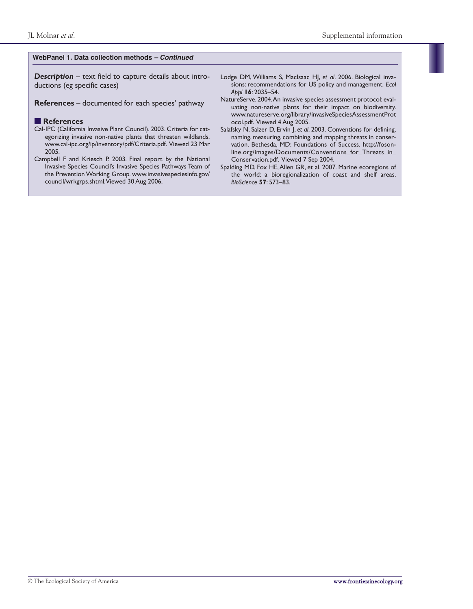*Description* – text field to capture details about introductions (eg specific cases)

**References** – documented for each species' pathway

#### ■ **References**

- Cal-IPC (California Invasive Plant Council). 2003. Criteria for categorizing invasive non-native plants that threaten wildlands. www.cal-ipc.org/ip/inventory/pdf/Criteria.pdf. Viewed 23 Mar 2005.
- Campbell F and Kriesch P. 2003. Final report by the National Invasive Species Council's Invasive Species Pathways Team of the Prevention Working Group. www.invasivespeciesinfo.gov/ council/wrkgrps.shtml.Viewed 30 Aug 2006.
- Lodge DM, Williams S, MacIsaac HJ, *et al*. 2006. Biological invasions: recommendations for US policy and management. *Ecol Appl* **16**: 2035–54.
- NatureServe. 2004.An invasive species assessment protocol: evaluating non-native plants for their impact on biodiversity. www.natureserve.org/library/invasiveSpeciesAssessmentProt ocol.pdf. Viewed 4 Aug 2005.
- Salafsky N, Salzer D, Ervin J, *et al*. 2003. Conventions for defining, naming, measuring, combining, and mapping threats in conservation. Bethesda, MD: Foundations of Success. http://fosonline.org/images/Documents/Conventions\_for\_Threats\_in\_ Conservation.pdf. Viewed 7 Sep 2004.
- Spalding MD, Fox HE,Allen GR, et al. 2007. Marine ecoregions of the world: a bioregionalization of coast and shelf areas. *BioScience* **57**: 573–83.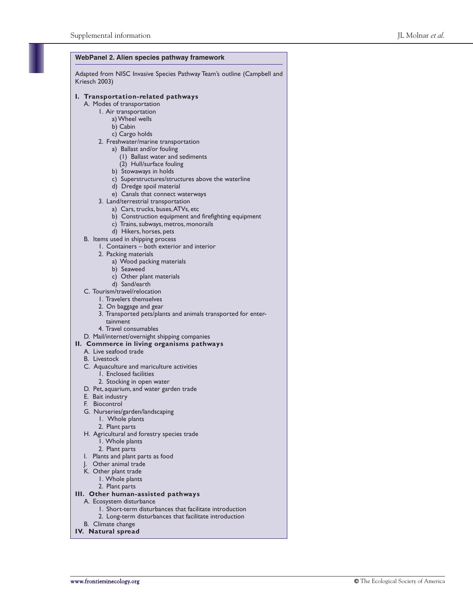| WebPanel 2. Alien species pathway framework                                              |  |  |  |  |  |  |
|------------------------------------------------------------------------------------------|--|--|--|--|--|--|
|                                                                                          |  |  |  |  |  |  |
| Adapted from NISC Invasive Species Pathway Team's outline (Campbell and<br>Kriesch 2003) |  |  |  |  |  |  |
| I. Transportation-related pathways                                                       |  |  |  |  |  |  |
| A. Modes of transportation                                                               |  |  |  |  |  |  |
| I. Air transportation                                                                    |  |  |  |  |  |  |
| a) Wheel wells<br>b) Cabin                                                               |  |  |  |  |  |  |
| c) Cargo holds                                                                           |  |  |  |  |  |  |
| 2. Freshwater/marine transportation                                                      |  |  |  |  |  |  |
| a) Ballast and/or fouling                                                                |  |  |  |  |  |  |
| (1) Ballast water and sediments                                                          |  |  |  |  |  |  |
| (2) Hull/surface fouling                                                                 |  |  |  |  |  |  |
| b) Stowaways in holds                                                                    |  |  |  |  |  |  |
| c) Superstructures/structures above the waterline                                        |  |  |  |  |  |  |
| d) Dredge spoil material<br>e) Canals that connect waterways                             |  |  |  |  |  |  |
| 3. Land/terrestrial transportation                                                       |  |  |  |  |  |  |
| a) Cars, trucks, buses, ATVs, etc                                                        |  |  |  |  |  |  |
| b) Construction equipment and firefighting equipment                                     |  |  |  |  |  |  |
| c) Trains, subways, metros, monorails                                                    |  |  |  |  |  |  |
| d) Hikers, horses, pets                                                                  |  |  |  |  |  |  |
| B. Items used in shipping process                                                        |  |  |  |  |  |  |
| I. Containers - both exterior and interior<br>2. Packing materials                       |  |  |  |  |  |  |
| a) Wood packing materials                                                                |  |  |  |  |  |  |
| b) Seaweed                                                                               |  |  |  |  |  |  |
| c) Other plant materials                                                                 |  |  |  |  |  |  |
| d) Sand/earth                                                                            |  |  |  |  |  |  |
| C. Tourism/travel/relocation                                                             |  |  |  |  |  |  |
| 1. Travelers themselves                                                                  |  |  |  |  |  |  |
| 2. On baggage and gear<br>3. Transported pets/plants and animals transported for enter-  |  |  |  |  |  |  |
| tainment                                                                                 |  |  |  |  |  |  |
| 4. Travel consumables                                                                    |  |  |  |  |  |  |
| D. Mail/internet/overnight shipping companies                                            |  |  |  |  |  |  |
| II. Commerce in living organisms pathways                                                |  |  |  |  |  |  |
| A. Live seafood trade                                                                    |  |  |  |  |  |  |
| <b>B.</b> Livestock<br>C. Aquaculture and mariculture activities                         |  |  |  |  |  |  |
| I. Enclosed facilities                                                                   |  |  |  |  |  |  |
| 2. Stocking in open water                                                                |  |  |  |  |  |  |
| D. Pet, aquarium, and water garden trade                                                 |  |  |  |  |  |  |
| E. Bait industry                                                                         |  |  |  |  |  |  |
| F. Biocontrol                                                                            |  |  |  |  |  |  |
| G. Nurseries/garden/landscaping                                                          |  |  |  |  |  |  |
| 1. Whole plants<br>2. Plant parts                                                        |  |  |  |  |  |  |
| H. Agricultural and forestry species trade                                               |  |  |  |  |  |  |
| 1. Whole plants                                                                          |  |  |  |  |  |  |
| 2. Plant parts                                                                           |  |  |  |  |  |  |
| Plants and plant parts as food<br>I.                                                     |  |  |  |  |  |  |
| J. Other animal trade                                                                    |  |  |  |  |  |  |
| K. Other plant trade                                                                     |  |  |  |  |  |  |
| I. Whole plants                                                                          |  |  |  |  |  |  |
| 2. Plant parts<br>III. Other human-assisted pathways                                     |  |  |  |  |  |  |
| A. Ecosystem disturbance                                                                 |  |  |  |  |  |  |

- 1. Short-term disturbances that facilitate introduction
- 2. Long-term disturbances that facilitate introduction
- B. Climate change
- **IV. Natural spread**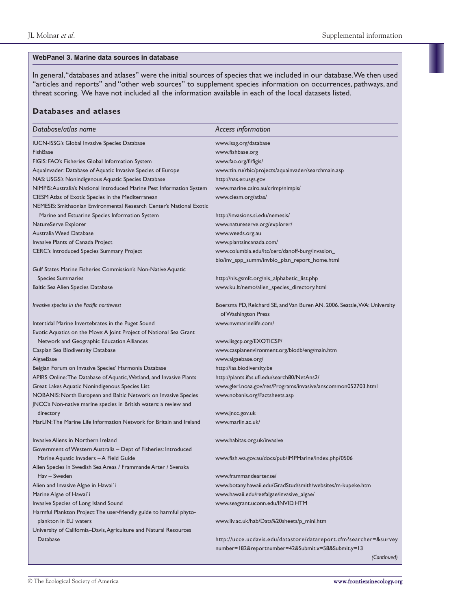#### **WebPanel 3. Marine data sources in database**

In general,"databases and atlases" were the initial sources of species that we included in our database.We then used "articles and reports" and "other web sources" to supplement species information on occurrences, pathways, and threat scoring. We have not included all the information available in each of the local datasets listed.

### **Databases and atlases**

| Database/atlas name                                                                                                     | Access information                                                                                                      |
|-------------------------------------------------------------------------------------------------------------------------|-------------------------------------------------------------------------------------------------------------------------|
| IUCN-ISSG's Global Invasive Species Database                                                                            | www.issg.org/database                                                                                                   |
| FishBase                                                                                                                | www.fishbase.org                                                                                                        |
| FIGIS: FAO's Fisheries Global Information System                                                                        | www.fao.org/fi/figis/                                                                                                   |
| Aqualnvader: Database of Aquatic Invasive Species of Europe                                                             | www.zin.ru/rbic/projects/aquainvader/searchmain.asp                                                                     |
| NAS: USGS's Nonindigenous Aquatic Species Database                                                                      | http://nas.er.usgs.gov                                                                                                  |
| NIMPIS: Australia's National Introduced Marine Pest Information System                                                  | www.marine.csiro.au/crimp/nimpis/                                                                                       |
| CIESM Atlas of Exotic Species in the Mediterranean                                                                      | www.ciesm.org/atlas/                                                                                                    |
| NEMESIS: Smithsonian Environmental Research Center's National Exotic<br>Marine and Estuarine Species Information System | http://invasions.si.edu/nemesis/                                                                                        |
| NatureServe Explorer                                                                                                    | www.natureserve.org/explorer/                                                                                           |
| Australia Weed Database                                                                                                 | www.weeds.org.au                                                                                                        |
| Invasive Plants of Canada Project                                                                                       | www.plantsincanada.com/                                                                                                 |
| CERC's Introduced Species Summary Project                                                                               | www.columbia.edu/itc/cerc/danoff-burg/invasion_                                                                         |
|                                                                                                                         | bio/inv_spp_summ/invbio_plan_report_home.html                                                                           |
| Gulf States Marine Fisheries Commission's Non-Native Aquatic                                                            |                                                                                                                         |
| <b>Species Summaries</b>                                                                                                | http://nis.gsmfc.org/nis_alphabetic_list.php                                                                            |
| <b>Baltic Sea Alien Species Database</b>                                                                                | www.ku.lt/nemo/alien_species_directory.html                                                                             |
| Invasive species in the Pacific northwest                                                                               | Boersma PD, Reichard SE, and Van Buren AN. 2006. Seattle, WA: University                                                |
|                                                                                                                         | of Washington Press                                                                                                     |
| Intertidal Marine Invertebrates in the Puget Sound                                                                      | www.nwmarinelife.com/                                                                                                   |
| Exotic Aquatics on the Move: A Joint Project of National Sea Grant                                                      |                                                                                                                         |
| Network and Geographic Education Alliances                                                                              | www.iisgcp.org/EXOTICSP/                                                                                                |
| Caspian Sea Biodiversity Database                                                                                       | www.caspianenvironment.org/biodb/eng/main.htm                                                                           |
| AlgaeBase                                                                                                               | www.algaebase.org/                                                                                                      |
| Belgian Forum on Invasive Species' Harmonia Database                                                                    | http://ias.biodiversity.be                                                                                              |
| APIRS Online: The Database of Aquatic, Wetland, and Invasive Plants                                                     | http://plants.ifas.ufl.edu/search80/NetAns2/                                                                            |
| Great Lakes Aquatic Nonindigenous Species List                                                                          | www.glerl.noaa.gov/res/Programs/invasive/anscommon052703.html                                                           |
| NOBANIS: North European and Baltic Network on Invasive Species                                                          | www.nobanis.org/Factsheets.asp                                                                                          |
| JNCC's Non-native marine species in British waters: a review and                                                        |                                                                                                                         |
| directory                                                                                                               | www.jncc.gov.uk                                                                                                         |
| MarLIN: The Marine Life Information Network for Britain and Ireland                                                     | www.marlin.ac.uk/                                                                                                       |
| Invasive Aliens in Northern Ireland                                                                                     | www.habitas.org.uk/invasive                                                                                             |
| Government of Western Australia - Dept of Fisheries: Introduced                                                         |                                                                                                                         |
| Marine Aquatic Invaders – A Field Guide                                                                                 | www.fish.wa.gov.au/docs/pub/IMPMarine/index.php?0506                                                                    |
| Alien Species in Swedish Sea Areas / Frammande Arter / Svenska                                                          |                                                                                                                         |
| Hav – Sweden                                                                                                            | www.frammandearter.se/                                                                                                  |
| Alien and Invasive Algae in Hawai'i                                                                                     | www.botany.hawaii.edu/GradStud/smith/websites/m-kupeke.htm                                                              |
| Marine Algae of Hawai'i                                                                                                 | www.hawaii.edu/reefalgae/invasive_algae/                                                                                |
| Invasive Species of Long Island Sound                                                                                   | www.seagrant.uconn.edu/INVID.HTM                                                                                        |
| Harmful Plankton Project: The user-friendly guide to harmful phyto-                                                     |                                                                                                                         |
| plankton in EU waters                                                                                                   | www.liv.ac.uk/hab/Data%20sheets/p_mini.htm                                                                              |
| University of California-Davis, Agriculture and Natural Resources                                                       |                                                                                                                         |
| Database                                                                                                                |                                                                                                                         |
|                                                                                                                         | http://ucce.ucdavis.edu/datastore/datareport.cfm?searcher=&survey<br>number=182&reportnumber=42&Submit.x=58&Submit.y=13 |
|                                                                                                                         | (Continued)                                                                                                             |
|                                                                                                                         |                                                                                                                         |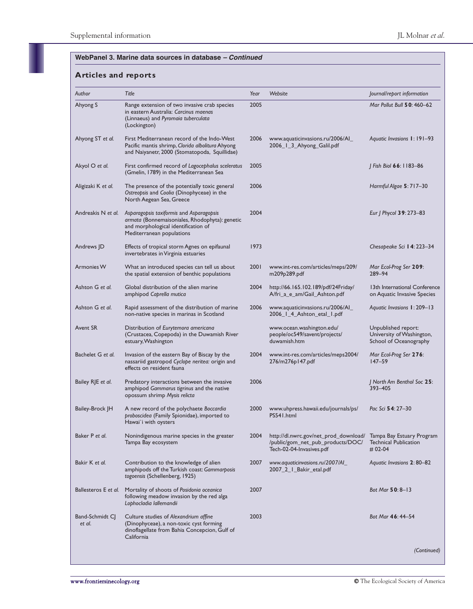| Author                    | <b>Title</b>                                                                                                                                                   | Year | Website                                                                                                                          | Journal/report information                                                 |
|---------------------------|----------------------------------------------------------------------------------------------------------------------------------------------------------------|------|----------------------------------------------------------------------------------------------------------------------------------|----------------------------------------------------------------------------|
| Ahyong S                  | Range extension of two invasive crab species<br>in eastern Australia: Carcinus maenas<br>(Linnaeus) and Pyromaia tuberculata<br>(Lockington)                   | 2005 |                                                                                                                                  | Mar Pollut Bull 50: 460-62                                                 |
| Ahyong ST et al.          | First Mediterranean record of the Indo-West<br>Pacific mantis shrimp, Clorida albolitura Ahyong<br>and Naiyanetr, 2000 (Stomatopoda, Squillidae)               | 2006 | www.aquaticinvasions.ru/2006/Al_<br>2006_1_3_Ahyong_Galil.pdf                                                                    | Aquatic Invasions 1:191-93                                                 |
| Akyol O et al.            | First confirmed record of Lagocephalus sceleratus<br>(Gmelin, 1789) in the Mediterranean Sea                                                                   | 2005 |                                                                                                                                  | Fish Biol 66: 1183-86                                                      |
| Aligizaki K et al.        | The presence of the potentially toxic general<br>Ostreopsis and Coolia (Dinophyceae) in the<br>North Aegean Sea, Greece                                        | 2006 |                                                                                                                                  | Harmful Algae 5:717–30                                                     |
| Andreakis N et al.        | Asparagopsis taxiformis and Asparagopsis<br>armata (Bonnemaisoniales, Rhodophyta): genetic<br>and morphological identification of<br>Mediterranean populations | 2004 |                                                                                                                                  | Eur   Phycol <b>39</b> : 273–83                                            |
| Andrews JD                | Effects of tropical storm Agnes on epifaunal<br>invertebrates in Virginia estuaries                                                                            | 1973 |                                                                                                                                  | Chesapeake Sci 14: 223-34                                                  |
| <b>Armonies W</b>         | What an introduced species can tell us about<br>the spatial extension of benthic populations                                                                   | 2001 | www.int-res.com/articles/meps/209/<br>m209p289.pdf                                                                               | Mar Ecol-Prog Ser 209:<br>$289 - 94$                                       |
| Ashton G et al.           | Global distribution of the alien marine<br>amphipod Caprella mutica                                                                                            | 2004 | http://66.165.102.189/pdf/24Friday/<br>A/fri_a_e_am/Gail_Ashton.pdf                                                              | 13th International Conference<br>on Aquatic Invasive Species               |
| Ashton G et al.           | Rapid assessment of the distribution of marine<br>non-native species in marinas in Scotland                                                                    | 2006 | www.aquaticinvasions.ru/2006/Al_<br>2006_1_4_Ashton_etal_1.pdf                                                                   | Aquatic Invasions 1: 209-13                                                |
| Avent SR                  | Distribution of Eurytemora americana<br>(Crustacea, Copepoda) in the Duwamish River<br>estuary, Washington                                                     |      | www.ocean.washington.edu/<br>people/oc549/savent/projects/<br>duwamish.htm                                                       | Unpublished report:<br>University of Washington,<br>School of Oceanography |
| Bachelet G et al.         | Invasion of the eastern Bay of Biscay by the<br>nassariid gastropod Cyclope neritea: origin and<br>effects on resident fauna                                   | 2004 | www.int-res.com/articles/meps2004/<br>276/m276p147.pdf                                                                           | Mar Ecol-Prog Ser 276:<br>$147 - 59$                                       |
| Bailey RJE et al.         | Predatory interactions between the invasive<br>amphipod Gammarus tigrinus and the native<br>opossum shrimp Mysis relicta                                       | 2006 |                                                                                                                                  | I North Am Benthol Soc 25:<br>393-405                                      |
| Bailey-Brock JH           | A new record of the polychaete Boccardia<br>proboscidea (Family Spionidae), imported to<br>Hawai'i with oysters                                                | 2000 | www.uhpress.hawaii.edu/journals/ps/<br>PS541.html                                                                                | Pac Sci 54: 27-30                                                          |
| Baker P et al.            | Nonindigenous marine species in the greater<br>Tampa Bay ecosystem                                                                                             | 2004 | http://dl.nwrc.gov/net_prod_download/ Tampa Bay Estuary Program<br>/public/gom_net_pub_products/DOC/<br>Tech-02-04-Invasives.pdf | <b>Technical Publication</b><br>$#02-04$                                   |
| Bakir K et al.            | Contribution to the knowledge of alien<br>amphipods off the Turkish coast: Gammarposis<br>togoensis (Schellenberg, 1925)                                       | 2007 | www.aquaticinvasions.ru/2007/AI_<br>2007_2_1_Bakir_etal.pdf                                                                      | Aquatic Invasions 2:80-82                                                  |
| Ballesteros E et al.      | Mortality of shoots of Posidonia oceanica<br>following meadow invasion by the red alga<br>Lophocladia lallemandii                                              | 2007 |                                                                                                                                  | Bot Mar 50: 8-13                                                           |
| Band-Schmidt CJ<br>et al. | Culture studies of Alexandrium affine<br>(Dinophyceae), a non-toxic cyst forming<br>dinoflagellate from Bahia Concepcion, Gulf of<br>California                | 2003 |                                                                                                                                  | Bot Mar 46: 44-54                                                          |
|                           |                                                                                                                                                                |      |                                                                                                                                  | (Continued)                                                                |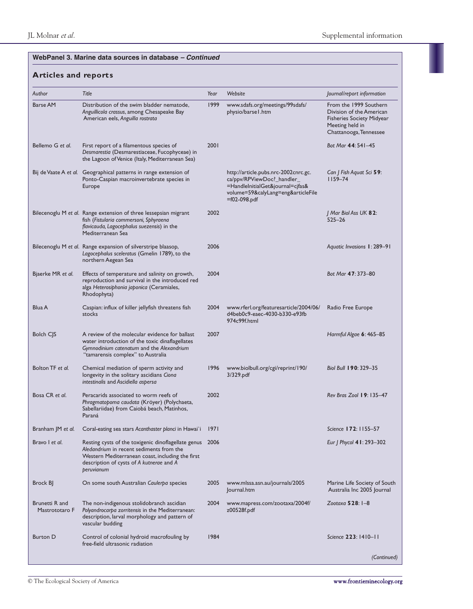| <b>Barse AM</b><br>Bellemo G et al. | Distribution of the swim bladder nematode.<br>Anguillicola crassus, among Chesapeake Bay<br>American eels, Anguilla rostrata<br>First report of a filamentous species of<br>Desmarestia (Desmarestiaceae, Fucophyceae) in<br>the Lagoon of Venice (Italy, Mediterranean Sea)<br>Bij de Vaate A et al. Geographical patterns in range extension of<br>Ponto-Caspian macroinvertebrate species in<br>Europe | 1999<br>2001 | www.sdafs.org/meetings/99sdafs/<br>physio/barse I.htm<br>http://article.pubs.nrc-2002cnrc.gc.<br>ca/ppv/RPViewDoc?_handler_ | From the 1999 Southern<br>Division of the American<br><b>Fisheries Society Midyear</b><br>Meeting held in<br>Chattanooga, Tennessee<br>Bot Mar 44: 541-45 |
|-------------------------------------|-----------------------------------------------------------------------------------------------------------------------------------------------------------------------------------------------------------------------------------------------------------------------------------------------------------------------------------------------------------------------------------------------------------|--------------|-----------------------------------------------------------------------------------------------------------------------------|-----------------------------------------------------------------------------------------------------------------------------------------------------------|
|                                     |                                                                                                                                                                                                                                                                                                                                                                                                           |              |                                                                                                                             |                                                                                                                                                           |
|                                     |                                                                                                                                                                                                                                                                                                                                                                                                           |              |                                                                                                                             |                                                                                                                                                           |
|                                     |                                                                                                                                                                                                                                                                                                                                                                                                           |              | =HandleInitialGet&journal=cjfas&<br>volume=59&calyLang=eng&articleFile<br>=f02-098.pdf                                      | Can   Fish Aguat Sci 59:<br>$1159 - 74$                                                                                                                   |
|                                     | Bilecenoglu M et al. Range extension of three lessepsian migrant<br>fish (Fistularia commersoni, Sphyraena<br>flavicauda, Lagocephalus suezensis) in the<br>Mediterranean Sea                                                                                                                                                                                                                             | 2002         |                                                                                                                             | J Mar Biol Ass UK <b>82</b> :<br>$525 - 26$                                                                                                               |
|                                     | Bilecenoglu M et al. Range expansion of silverstripe blaasop,<br>Lagocephalus sceleratus (Gmelin 1789), to the<br>northern Aegean Sea                                                                                                                                                                                                                                                                     | 2006         |                                                                                                                             | Aquatic Invasions 1: 289-91                                                                                                                               |
| Bjaerke MR et al.                   | Effects of temperature and salinity on growth,<br>reproduction and survival in the introduced red<br>alga Heterosiphonia japonica (Ceramiales,<br>Rhodophyta)                                                                                                                                                                                                                                             | 2004         |                                                                                                                             | Bot Mar 47: 373-80                                                                                                                                        |
| Blua A                              | Caspian: influx of killer jellyfish threatens fish<br>stocks                                                                                                                                                                                                                                                                                                                                              | 2004         | www.rferl.org/featuresarticle/2004/06/<br>d4beb0c9-eaec-4030-b330-e93fb<br>974c99f.html                                     | Radio Free Europe                                                                                                                                         |
| <b>Bolch CJS</b>                    | A review of the molecular evidence for ballast<br>water introduction of the toxic dinaflagellates<br>Gymnodinium catenatum and the Alexandrium<br>"tamarensis complex" to Australia                                                                                                                                                                                                                       | 2007         |                                                                                                                             | Harmful Algae 6: 465–85                                                                                                                                   |
| Bolton TF et al.                    | Chemical mediation of sperm activity and<br>longevity in the solitary ascidians Ciona<br>intestinalis and Ascidiella aspersa                                                                                                                                                                                                                                                                              | 1996         | www.biolbull.org/cgi/reprint/190/<br>3/329.pdf                                                                              | Biol Bull 190: 329-35                                                                                                                                     |
| Bosa CR et al.                      | Peracarids associated to worm reefs of<br>Phragmatopoma caudata (Kröyer) (Polychaeta,<br>Sabellariidae) from Caiobá beach, Matinhos,<br>Paraná                                                                                                                                                                                                                                                            | 2002         |                                                                                                                             | Rev Bras Zool 19: 135-47                                                                                                                                  |
| Branham JM et al.                   | Coral-eating sea stars Acanthaster planci in Hawai'i                                                                                                                                                                                                                                                                                                                                                      | <u>1971</u>  |                                                                                                                             | Science 172: 1155-57                                                                                                                                      |
| Bravo I et al.                      | Resting cysts of the toxigenic dinoflagellate genus 2006<br>Aledandrium in recent sediments from the<br>Western Mediterranean coast, including the first<br>description of cysts of A kutnerae and A<br>peruvianum                                                                                                                                                                                        |              |                                                                                                                             | Eur   Phycol 4 1: 293-302                                                                                                                                 |
| Brock BJ                            | On some south Australian Caulerpa species                                                                                                                                                                                                                                                                                                                                                                 | 2005         | www.mlssa.asn.au/journals/2005<br>Journal.htm                                                                               | Marine Life Society of South<br>Australia Inc 2005 Journal                                                                                                |
| Brunetti R and<br>Mastrototaro F    | The non-indigenous stolidobranch ascidian<br>Polyandrocarpa zorritensis in the Mediterranean:<br>description, larval morphology and pattern of<br>vascular budding                                                                                                                                                                                                                                        | 2004         | www.mapress.com/zootaxa/2004f/<br>z00528f.pdf                                                                               | Zootaxa 528: 1-8                                                                                                                                          |
| <b>Burton D</b>                     | Control of colonial hydroid macrofouling by<br>free-field ultrasonic radiation                                                                                                                                                                                                                                                                                                                            | 1984         |                                                                                                                             | Science 223: 1410-11                                                                                                                                      |
|                                     |                                                                                                                                                                                                                                                                                                                                                                                                           |              |                                                                                                                             | (Continued)                                                                                                                                               |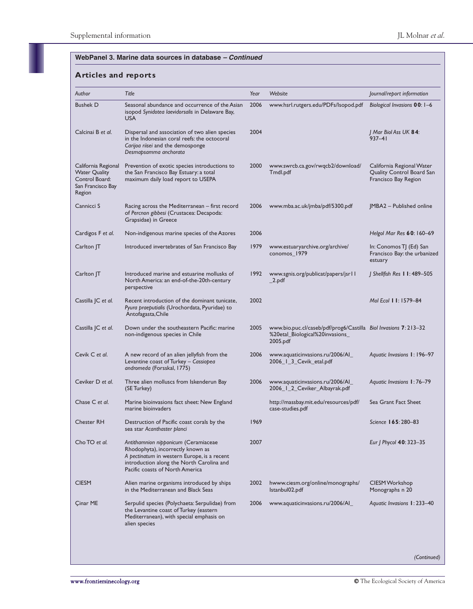| Author                                                                                       | Title                                                                                                                                                                                                    | Year | Website                                                                                                         | Journal/report information                                                     |
|----------------------------------------------------------------------------------------------|----------------------------------------------------------------------------------------------------------------------------------------------------------------------------------------------------------|------|-----------------------------------------------------------------------------------------------------------------|--------------------------------------------------------------------------------|
| <b>Bushek D</b>                                                                              | Seasonal abundance and occurrence of the Asian<br>isopod Synidotea laevidorsalis in Delaware Bay,<br><b>USA</b>                                                                                          | 2006 | www.hsrl.rutgers.edu/PDFs/Isopod.pdf                                                                            | Biological Invasions 00: 1-6                                                   |
| Calcinai B et al.                                                                            | Dispersal and association of two alien species<br>in the Indonesian coral reefs: the octocoral<br>Carijoa riisei and the demosponge<br>Desmapsamma anchorata                                             | 2004 |                                                                                                                 | Mar Biol Ass UK <b>84</b> :<br>$937 - 41$                                      |
| California Regional<br><b>Water Quality</b><br>Control Board:<br>San Francisco Bay<br>Region | Prevention of exotic species introductions to<br>the San Francisco Bay Estuary: a total<br>maximum daily load report to USEPA                                                                            | 2000 | www.swrcb.ca.gov/rwqcb2/download/<br>Tmdl.pdf                                                                   | California Regional Water<br>Quality Control Board San<br>Francisco Bay Region |
| Cannicci S                                                                                   | Racing across the Mediterranean – first record<br>of Percnon gibbesi (Crustacea: Decapoda:<br>Grapsidae) in Greece                                                                                       | 2006 | www.mba.ac.uk/jmba/pdf/5300.pdf                                                                                 | JMBA2 - Published online                                                       |
| Cardigos F et al.                                                                            | Non-indigenous marine species of the Azores                                                                                                                                                              | 2006 |                                                                                                                 | Helgol Mar Res 60: 160-69                                                      |
| Carlton JT                                                                                   | Introduced invertebrates of San Francisco Bay                                                                                                                                                            | 1979 | www.estuaryarchive.org/archive/<br>conomos 1979                                                                 | In: Conomos TJ (Ed) San<br>Francisco Bay: the urbanized<br>estuary             |
| Carlton JT                                                                                   | Introduced marine and estuarine mollusks of<br>North America: an end-of-the-20th-century<br>perspective                                                                                                  | 1992 | www.sgnis.org/publicat/papers/jsrll<br>$_2$ .pdf                                                                | $\int$ Shellfish Res 11:489-505                                                |
| Castilla JC et al.                                                                           | Recent introduction of the dominant tunicate,<br>Pyura praeputialis (Urochordata, Pyuridae) to<br>Antofagasta, Chile                                                                                     | 2002 |                                                                                                                 | Mol Ecol 11:1579-84                                                            |
| Castilla JC et al.                                                                           | Down under the southeastern Pacific: marine<br>non-indigenous species in Chile                                                                                                                           | 2005 | www.bio.puc.cl/caseb/pdf/prog6/Castilla Biol Invasions 7: 213-32<br>%20etal_Biological%20invasions_<br>2005.pdf |                                                                                |
| Cevik C et al.                                                                               | A new record of an alien jellyfish from the<br>Levantine coast of Turkey – Cassiopea<br>andromeda (Forsskal, 1775)                                                                                       | 2006 | www.aquaticinvasions.ru/2006/Al_<br>2006_1_3_Cevik_etal.pdf                                                     | Aquatic Invasions 1: 196-97                                                    |
| Ceviker D et al.                                                                             | Three alien molluscs from Iskenderun Bay<br>(SE Turkey)                                                                                                                                                  | 2006 | www.aquaticinvasions.ru/2006/Al_<br>2006_1_2_Ceviker_Albayrak.pdf                                               | Aquatic Invasions 1:76-79                                                      |
| Chase C et al.                                                                               | Marine bioinvasions fact sheet: New England<br>marine bioinvaders                                                                                                                                        |      | http://massbay.mit.edu/resources/pdf/<br>case-studies.pdf                                                       | Sea Grant Fact Sheet                                                           |
| <b>Chester RH</b>                                                                            | Destruction of Pacific coast corals by the<br>sea star Acanthaster planci                                                                                                                                | 1969 |                                                                                                                 | Science 165: 280-83                                                            |
| Cho TO et al.                                                                                | Antithamnion nipponicum (Ceramiaceae<br>Rhodophyta), incorrectly known as<br>A pectinatum in western Europe, is a recent<br>introduction along the North Carolina and<br>Pacific coasts of North America | 2007 |                                                                                                                 | Eur   Phycol 40: 323-35                                                        |
| <b>CIESM</b>                                                                                 | Alien marine organisms introduced by ships<br>in the Mediterranean and Black Seas                                                                                                                        | 2002 | hwww.ciesm.org/online/monographs/<br>Istanbul02.pdf                                                             | CIESM Workshop<br>Monographs n 20                                              |
| <b>Cinar ME</b>                                                                              | Serpulid species (Polychaeta: Serpulidae) from<br>the Levantine coast of Turkey (eastern<br>Mediterranean), with special emphasis on<br>alien species                                                    | 2006 | www.aquaticinvasions.ru/2006/Al_                                                                                | Aquatic Invasions 1: 233-40                                                    |
|                                                                                              |                                                                                                                                                                                                          |      |                                                                                                                 |                                                                                |
|                                                                                              |                                                                                                                                                                                                          |      |                                                                                                                 | (Continued)                                                                    |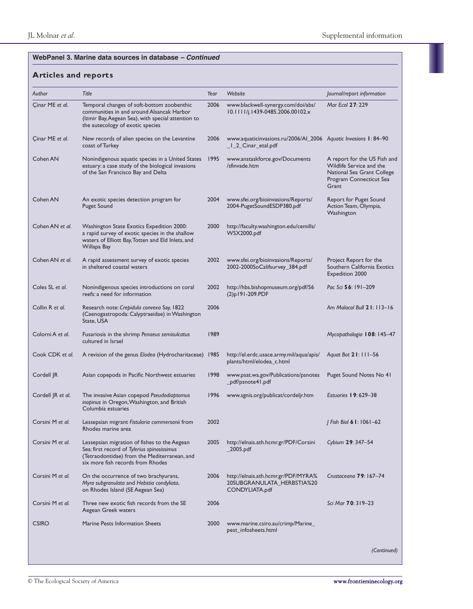| Author            | <b>Title</b>                                                                                                                                                                      | Year | Website                                                                               | Journal/report information                                                                                                 |
|-------------------|-----------------------------------------------------------------------------------------------------------------------------------------------------------------------------------|------|---------------------------------------------------------------------------------------|----------------------------------------------------------------------------------------------------------------------------|
| Cinar ME et al.   | Temporal changes of soft-bottom zoobenthic<br>communities in and around Alsancak Harbor<br>(Izmir Bay, Aegean Sea), with special attention to<br>the autecology of exotic species | 2006 | www.blackwell-synergy.com/doi/abs/<br>$10.1111$ /j.1439-0485.2006.00102.x             | Mar Ecol 27:229                                                                                                            |
| Cinar ME et al.   | New records of alien species on the Levantine<br>coast of Turkey                                                                                                                  | 2006 | www.aquaticinvasions.ru/2006/AI_2006 Aquatic Invasions 1:84-90<br>_1_2_Cinar_etal.pdf |                                                                                                                            |
| Cohen AN          | Nonindigenous aquatic species in a United States<br>estuary: a case study of the biological invasions<br>of the San Francisco Bay and Delta                                       | 1995 | www.anstaskforce.gov/Documents<br>/sfinvade.htm                                       | A report for the US Fish and<br>Wildlife Service and the<br>National Sea Grant College<br>Program Connecticut Sea<br>Grant |
| Cohen AN          | An exotic species detection program for<br>Puget Sound                                                                                                                            | 2004 | www.sfei.org/bioinvasions/Reports/<br>2004-PugetSoundESDP380.pdf                      | Report for Puget Sound<br>Action Team, Olympia,<br>Washington                                                              |
| Cohen AN et al.   | Washington State Exotics Expedition 2000:<br>a rapid survey of exotic species in the shallow<br>waters of Elliott Bay, Totten and Eld Inlets, and<br>Willapa Bay                  | 2000 | http://faculty.washington.edu/cemills/<br>WSX2000.pdf                                 |                                                                                                                            |
| Cohen AN et al.   | A rapid assessment survey of exotic species<br>in sheltered coastal waters                                                                                                        | 2002 | www.sfei.org/bioinvasions/Reports/<br>2002-2000SoCalifsurvey_384.pdf                  | Project Report for the<br>Southern California Exotics<br>Expedition 2000                                                   |
| Coles SL et al.   | Nonindigenous species introductions on coral<br>reefs: a need for information                                                                                                     | 2002 | http://hbs.bishopmuseum.org/pdf/56<br>(2) p   9   - 209. PDF                          | Pac Sci 56: 191-209                                                                                                        |
| Collin R et al.   | Research note: Crepidula convexa Say, 1822<br>(Caenogastropoda: Calyptraeidae) in Washington<br>State, USA                                                                        | 2006 |                                                                                       | Am Malacol Bull 21: 113-16                                                                                                 |
| Colorni A et al.  | Fusariosis in the shrimp Penaeus semisulcatus<br>cultured in Israel                                                                                                               | 1989 |                                                                                       | Mycopathologia 108: 145-47                                                                                                 |
| Cook CDK et al.   | A revision of the genus Elodea (Hydrocharitaceae) 1985                                                                                                                            |      | http://el.erdc.usace.army.mil/aqua/apis/<br>plants/html/elodea_c.html                 | Aquat Bot 21:111-56                                                                                                        |
| Cordell JR        | Asian copepods in Pacific Northwest estuaries                                                                                                                                     | 1998 | www.psat.wa.gov/Publications/psnotes<br>_pdf/psnote41.pdf                             | Puget Sound Notes No 41                                                                                                    |
| Cordell JR et al. | The invasive Asian copepod Pseudodiaptomus<br>inopinus in Oregon, Washington, and British<br>Columbia estuaries                                                                   | 1996 | www.sgnis.org/publicat/cordeljr.htm                                                   | Estuaries $19:629-38$                                                                                                      |
| Corsini M et al.  | Lessepsian migrant Fistularia commersonii from<br>Rhodes marine area                                                                                                              | 2002 |                                                                                       | Fish Biol 6 1: 1061-62                                                                                                     |
| Corsini M et al.  | Lessepsian migration of fishes to the Aegean<br>Sea: first record of Tylerius spinosissimus<br>(Tetraodontidae) from the Mediterranean, and<br>six more fish records from Rhodes  | 2005 | http://elnais.ath.hcmr.gr/PDF/Corsini<br>_2005.pdf                                    | Cybium 29: 347-54                                                                                                          |
| Corsini M et al.  | On the occurrence of two brachyurans,<br>Myra subgranulata and Hebstia condyliata,<br>on Rhodes Island (SE Aegean Sea)                                                            | 2006 | http://elnais.ath.hcmr.gr/PDF/MYRA%<br>20SUBGRANULATA_HERBSTIA%20<br>CONDYLIATA.pdf   | Crustaceana 79: 167-74                                                                                                     |
| Corsini M et al.  | Three new exotic fish records from the SE<br>Aegean Greek waters                                                                                                                  | 2006 |                                                                                       | Sci Mar 70: 319-23                                                                                                         |
| <b>CSIRO</b>      | Marine Pests Information Sheets                                                                                                                                                   | 2000 | www.marine.csiro.au/crimp/Marine_<br>pest_infosheets.html                             |                                                                                                                            |
|                   |                                                                                                                                                                                   |      |                                                                                       | (Continued)                                                                                                                |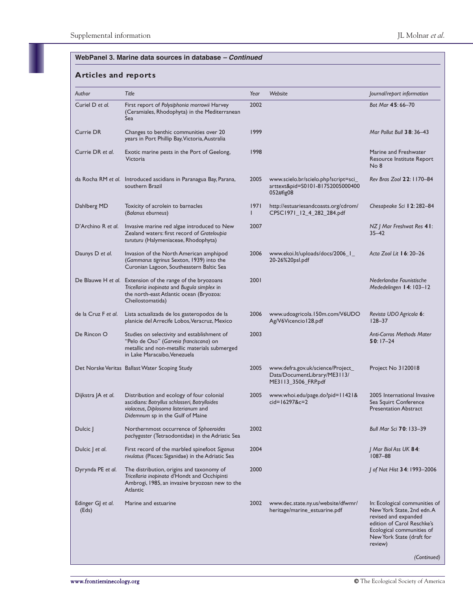| Author                     | Title                                                                                                                                                                    | Year      | Website                                                                                  | Journal/report information                                                                                                                                                             |
|----------------------------|--------------------------------------------------------------------------------------------------------------------------------------------------------------------------|-----------|------------------------------------------------------------------------------------------|----------------------------------------------------------------------------------------------------------------------------------------------------------------------------------------|
| Curiel D et al.            | First report of Polysiphonia morrowii Harvey<br>(Ceramiales, Rhodophyta) in the Mediterranean<br>Sea                                                                     | 2002      |                                                                                          | Bot Mar 45:66-70                                                                                                                                                                       |
| Currie DR                  | Changes to benthic communities over 20<br>years in Port Phillip Bay, Victoria, Australia                                                                                 | 1999      |                                                                                          | Mar Pollut Bull 38: 36-43                                                                                                                                                              |
| Currie DR et al.           | Exotic marine pests in the Port of Geelong,<br>Victoria                                                                                                                  | 1998      |                                                                                          | Marine and Freshwater<br>Resource Institute Report<br>No 8                                                                                                                             |
|                            | da Rocha RM et al. Introduced ascidians in Paranagua Bay, Parana,<br>southern Brazil                                                                                     | 2005      | www.scielo.br/scielo.php?script=sci_<br>arttext&pid=S0101-81752005000400<br>052#fig08    | Rev Bras Zool 22: 1170-84                                                                                                                                                              |
| Dahlberg MD                | Toxicity of acrolein to barnacles<br>(Balanus eburneus)                                                                                                                  | 1971<br>L | http://estuariesandcoasts.org/cdrom/<br>CPSC1971_12_4_282_284.pdf                        | Chesapeake Sci 12: 282-84                                                                                                                                                              |
| D'Archino R et al.         | Invasive marine red algae introduced to New<br>Zealand waters: first record of Grateloupia<br>turuturu (Halymeniaceae, Rhodophyta)                                       | 2007      |                                                                                          | NZ   Mar Freshwat Res 41:<br>$35 - 42$                                                                                                                                                 |
| Daunys D et al.            | Invasion of the North American amphipod<br>(Gammarus tigrinus Sexton, 1939) into the<br>Curonian Lagoon, Southeastern Baltic Sea                                         | 2006      | www.ekoi.lt/uploads/docs/2006_I_<br>20-26%20psl.pdf                                      | Acta Zool Lit 16: 20-26                                                                                                                                                                |
|                            | De Blauwe H et al. Extension of the range of the bryozoans<br>Tricellaria inopinata and Bugula simplex in<br>the north-east Atlantic ocean (Bryozoa:<br>Cheilostomatida) | 2001      |                                                                                          | Nederlandse Faunistische<br>Mededelingen 14: 103-12                                                                                                                                    |
| de la Cruz F et al.        | Lista actualizada de los gasteropodos de la<br>planicie del Arrecife Lobos, Veracruz, Mexico                                                                             | 2006      | www.udoagricola.150m.com/V6UDO<br>Ag/V6Vicencio128.pdf                                   | Revista UDO Agricola 6:<br>$128 - 37$                                                                                                                                                  |
| De Rincon O                | Studies on selectivity and establishment of<br>"Pelo de Oso" (Garveia franciscana) on<br>metallic and non-metallic materials submerged<br>in Lake Maracaibo, Venezuela   | 2003      |                                                                                          | <b>Anti-Corros Methods Mater</b><br>$50:17-24$                                                                                                                                         |
|                            | Det Norske Veritas Ballast Water Scoping Study                                                                                                                           | 2005      | www.defra.gov.uk/science/Project_<br>Data/DocumentLibrary/ME3113/<br>ME3113_3506_FRP.pdf | Project No 3120018                                                                                                                                                                     |
| Dijkstra JA et al.         | Distribution and ecology of four colonial<br>ascidians: Botryllus schlosseri, Botrylloides<br>violaceus, Diplosoma listerianum and<br>Didemnum sp in the Gulf of Maine   | 2005      | www.whoi.edu/page.do?pid=11421&<br>cid=16297&c=2                                         | 2005 International Invasive<br>Sea Squirt Conference<br><b>Presentation Abstract</b>                                                                                                   |
| Dulcic J                   | Northernmost occurrence of Sphoeroides<br>pachygaster (Tetraodontidae) in the Adriatic Sea                                                                               | 2002      |                                                                                          | Bull Mar Sci 70: 133-39                                                                                                                                                                |
| Dulcic J et al.            | First record of the marbled spinefoot Siganus<br>rivulatus (Pisces: Siganidae) in the Adriatic Sea                                                                       | 2004      |                                                                                          | J Mar Biol Ass UK <b>84</b> :<br>$1087 - 88$                                                                                                                                           |
| Dyrynda PE et al.          | The distribution, origins and taxonomy of<br>Tricellaria inopinata d'Hondt and Occhipinti<br>Ambrogi, 1985, an invasive bryozoan new to the<br>Atlantic                  | 2000      |                                                                                          | J of Nat Hist 34: 1993-2006                                                                                                                                                            |
| Edinger GJ et al.<br>(Eds) | Marine and estuarine                                                                                                                                                     | 2002      | www.dec.state.ny.us/website/dfwmr/<br>heritage/marine_estuarine.pdf                      | In: Ecological communities of<br>New York State, 2nd edn. A<br>revised and expanded<br>edition of Carol Reschke's<br>Ecological communities of<br>New York State (draft for<br>review) |
|                            |                                                                                                                                                                          |           |                                                                                          | (Continued)                                                                                                                                                                            |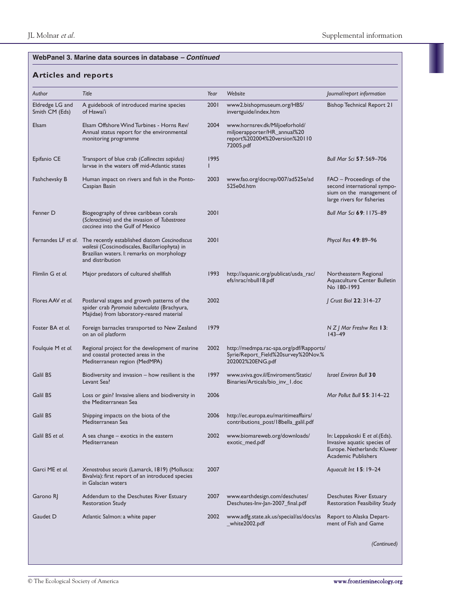| Author                            | <b>Title</b>                                                                                                                                                                          | Year | Website                                                                                                      | Journal/report information                                                                                                |
|-----------------------------------|---------------------------------------------------------------------------------------------------------------------------------------------------------------------------------------|------|--------------------------------------------------------------------------------------------------------------|---------------------------------------------------------------------------------------------------------------------------|
| Eldredge LG and<br>Smith CM (Eds) | A guidebook of introduced marine species<br>of Hawai'i                                                                                                                                | 2001 | www2.bishopmuseum.org/HBS/<br>invertguide/index.htm                                                          | <b>Bishop Technical Report 21</b>                                                                                         |
| Elsam                             | Elsam Offshore Wind Turbines - Horns Rev/<br>Annual status report for the environmental<br>monitoring programme                                                                       | 2004 | www.hornsrev.dk/Miljoeforhold/<br>miljoerapporter/HR_annual%20<br>report%202004%20version%20110<br>72005.pdf |                                                                                                                           |
| Epifanio CE                       | Transport of blue crab (Callinectes sapidus)<br>larvae in the waters off mid-Atlantic states                                                                                          | 1995 |                                                                                                              | Bull Mar Sci 57:569-706                                                                                                   |
| Fashchevsky B                     | Human impact on rivers and fish in the Ponto-<br>Caspian Basin                                                                                                                        | 2003 | www.fao.org/docrep/007/ad525e/ad<br>525e0d.htm                                                               | FAO - Proceedings of the<br>second international sympo-<br>sium on the management of<br>large rivers for fisheries        |
| Fenner D                          | Biogeography of three caribbean corals<br>(Scleractinia) and the invasion of Tubastraea<br>coccineg into the Gulf of Mexico                                                           | 2001 |                                                                                                              | Bull Mar Sci 69: 1175-89                                                                                                  |
|                                   | Fernandes LF et al. The recently established diatom Coscinodiscus<br>wailesii (Coscinodiscales, Bacillariophyta) in<br>Brazilian waters. I: remarks on morphology<br>and distribution | 2001 |                                                                                                              | Phycol Res 49:89-96                                                                                                       |
| Flimlin G et al.                  | Major predators of cultured shellfish                                                                                                                                                 | 1993 | http://aquanic.org/publicat/usda_rac/<br>efs/nrac/nbull18.pdf                                                | Northeastern Regional<br>Aquaculture Center Bulletin<br>No 180-1993                                                       |
| Flores AAV et al.                 | Postlarval stages and growth patterns of the<br>spider crab Pyromaia tuberculata (Brachyura,<br>Majidae) from laboratory-reared material                                              | 2002 |                                                                                                              | J Crust Biol 22: 314-27                                                                                                   |
| Foster BA et al.                  | Foreign barnacles transported to New Zealand<br>on an oil platform                                                                                                                    | 1979 |                                                                                                              | $N Z$ / Mar Freshw Res 13:<br>$143 - 49$                                                                                  |
| Foulquie M et al.                 | Regional project for the development of marine<br>and coastal protected areas in the<br>Mediterranean region (MedMPA)                                                                 | 2002 | http://medmpa.rac-spa.org/pdf/Rapports/<br>Syrie/Report_Field%20survey%20Nov.%<br>202002%20ENG.pdf           |                                                                                                                           |
| <b>Galil BS</b>                   | Biodiversity and invasion $-$ how resilient is the<br>Levant Sea?                                                                                                                     | 1997 | www.sviva.gov.il/Enviroment/Static/<br>Binaries/Articals/bio_inv_1.doc                                       | <b>Israel Environ Bull 30</b>                                                                                             |
| <b>Galil BS</b>                   | Loss or gain? Invasive aliens and biodiversity in<br>the Mediterranean Sea                                                                                                            | 2006 |                                                                                                              | Mar Pollut Bull 55: 314-22                                                                                                |
| <b>Galil BS</b>                   | Shipping impacts on the biota of the<br>Mediterranean Sea                                                                                                                             | 2006 | http://ec.europa.eu/maritimeaffairs/<br>contributions_post/18bella_galil.pdf                                 |                                                                                                                           |
| Galil BS et al.                   | A sea change – exotics in the eastern<br>Mediterranean                                                                                                                                | 2002 | www.biomareweb.org/downloads/<br>exotic_med.pdf                                                              | In: Leppakoski E et al.(Eds).<br>Invasive aquatic species of<br>Europe. Netherlands: Kluwer<br><b>Academic Publishers</b> |
| Garci ME et al.                   | Xenostrobus securis (Lamarck, 1819) (Mollusca:<br>Bivalvia): first report of an introduced species<br>in Galacian waters                                                              | 2007 |                                                                                                              | Aquacult Int 15: 19–24                                                                                                    |
| Garono RJ                         | Addendum to the Deschutes River Estuary<br><b>Restoration Study</b>                                                                                                                   | 2007 | www.earthdesign.com/deschutes/<br>Deschutes-Inv-Jan-2007_final.pdf                                           | Deschutes River Estuary<br><b>Restoration Feasibility Study</b>                                                           |
| Gaudet D                          | Atlantic Salmon: a white paper                                                                                                                                                        | 2002 | www.adfg.state.ak.us/special/as/docs/as<br>_white2002.pdf                                                    | Report to Alaska Depart-<br>ment of Fish and Game                                                                         |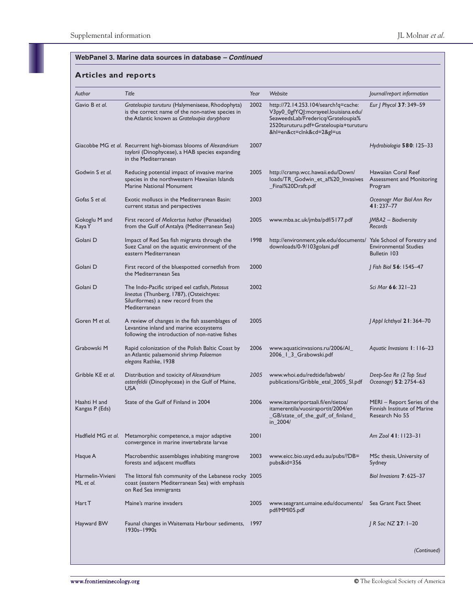| Author                         | <b>Title</b>                                                                                                                                       | Year | Website                                                                                                                                                                                | Journal/report information                                                   |
|--------------------------------|----------------------------------------------------------------------------------------------------------------------------------------------------|------|----------------------------------------------------------------------------------------------------------------------------------------------------------------------------------------|------------------------------------------------------------------------------|
| Gavio B et al.                 | Grateloupia turuturu (Halymeniaeae, Rhodophyta)<br>is the correct name of the non-native species in<br>the Atlantic known as Grateloupia doryphora | 2002 | http://72.14.253.104/search?q=cache:<br>V3py0_0gfYQJ:morayeel.louisiana.edu/<br>SeaweedsLab/Fredericq/Grateloupia%<br>2520turuturu.pdf+Grateloupia+turuturu<br>&hl=en&ct=clnk&cd=2≷=us | Eur J Phycol 37: 349-59                                                      |
|                                | Giacobbe MG et al. Recurrent high-biomass blooms of Alexandrium<br>taylorii (Dinophyceae), a HAB species expanding<br>in the Mediterranean         | 2007 |                                                                                                                                                                                        | Hydrobiologia 580: 125-33                                                    |
| Godwin S et al.                | Reducing potential impact of invasive marine<br>species in the northwestern Hawaiian Islands<br>Marine National Monument                           | 2005 | http://cramp.wcc.hawaii.edu/Down/<br>loads/TR_Godwin_et_al%20_Invasives<br>Final%20Draft.pdf                                                                                           | Hawaiian Coral Reef<br><b>Assessment and Monitoring</b><br>Program           |
| Gofas S et al.                 | Exotic molluscs in the Mediterranean Basin:<br>current status and perspectives                                                                     | 2003 |                                                                                                                                                                                        | Oceanogr Mar Biol Ann Rev<br>41:237-77                                       |
| Gokoglu M and<br>Kaya Y        | First record of Melicertus hathor (Penaeidae)<br>from the Gulf of Antalya (Mediterranean Sea)                                                      | 2005 | www.mba.ac.uk/jmba/pdf/5177.pdf                                                                                                                                                        | JMBA2 - Biodiversity<br>Records                                              |
| Golani D                       | Impact of Red Sea fish migrants through the<br>Suez Canal on the aquatic environment of the<br>eastern Mediterranean                               | 1998 | http://environment.yale.edu/documents/ Yale School of Forestry and<br>downloads/0-9/103golani.pdf                                                                                      | <b>Environmental Studies</b><br><b>Bulletin 103</b>                          |
| Golani D                       | First record of the bluespotted cornetfish from<br>the Mediterranean Sea                                                                           | 2000 |                                                                                                                                                                                        | J Fish Biol 56: 1545-47                                                      |
| Golani D                       | The Indo-Pacific striped eel catfish, Plotosus<br>lineatus (Thunberg, 1787), (Osteichtyes:<br>Siluriformes) a new record from the<br>Mediterranean | 2002 |                                                                                                                                                                                        | Sci Mar 66: 321-23                                                           |
| Goren M et al.                 | A review of changes in the fish assemblages of<br>Levantine inland and marine ecosystems<br>following the introduction of non-native fishes        | 2005 |                                                                                                                                                                                        | J Appl Ichthyol 2 1: 364-70                                                  |
| Grabowski M                    | Rapid colonization of the Polish Baltic Coast by<br>an Atlantic palaemonid shrimp Palaemon<br>elegans Rathke, 1938                                 | 2006 | www.aquaticinvasions.ru/2006/Al_<br>2006_1_3_Grabowski.pdf                                                                                                                             | Aquatic Invasions 1:116-23                                                   |
| Gribble KE et al.              | Distribution and toxicity of Alexandrium<br>ostenfeldii (Dinophyceae) in the Gulf of Maine,<br><b>USA</b>                                          | 2005 | www.whoi.edu/redtide/labweb/<br>publications/Gribble_etal_2005_SI.pdf                                                                                                                  | Deep-Sea Re (2 Top Stud<br>Oceanogr) 52: 2754-63                             |
| Haahti H and<br>Kangas P (Eds) | State of the Gulf of Finland in 2004                                                                                                               | 2006 | www.itameriportaali.fi/en/tietoa/<br>itamerentila/vuosiraportit/2004/en<br>_GB/state_of_the_gulf_of_finland_<br>in_2004/                                                               | MERI – Report Series of the<br>Finnish Institute of Marine<br>Research No 55 |
| Hadfield MG et al.             | Metamorphic competence, a major adaptive<br>convergence in marine invertebrate larvae                                                              | 2001 |                                                                                                                                                                                        | Am Zool 41: 1123-31                                                          |
| Haque A                        | Macrobenthic assemblages inhabiting mangrove<br>forests and adjacent mudflats                                                                      | 2003 | www.eicc.bio.usyd.edu.au/pubs/?DB=<br>pubs&id=356                                                                                                                                      | MSc thesis, University of<br>Sydney                                          |
| Harmelin-Vivieni<br>ML et al.  | The littoral fish community of the Lebanese rocky 2005<br>coast (eastern Mediterranean Sea) with emphasis<br>on Red Sea immigrants                 |      |                                                                                                                                                                                        | Biol Invasions 7: 625–37                                                     |
| Hart T                         | Maine's marine invaders                                                                                                                            | 2005 | www.seagrant.umaine.edu/documents/<br>pdf/MMI05.pdf                                                                                                                                    | Sea Grant Fact Sheet                                                         |
| Hayward BW                     | Faunal changes in Waitemata Harbour sediments,<br>1930s-1990s                                                                                      | 1997 |                                                                                                                                                                                        | J R Soc NZ 27: 1-20                                                          |
|                                |                                                                                                                                                    |      |                                                                                                                                                                                        | (Continued)                                                                  |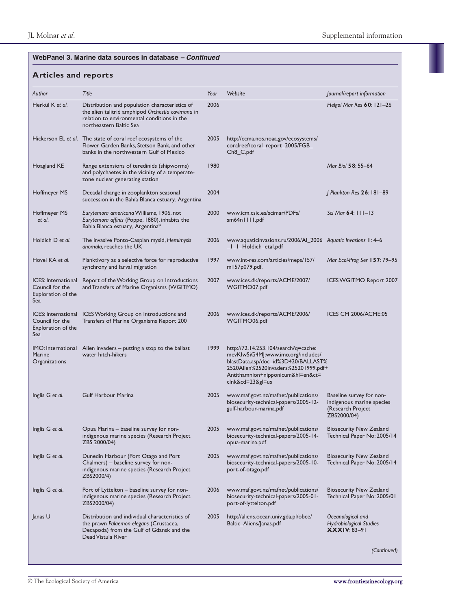# **Articles and reports**

| Author                                                                     | Title                                                                                                                                                                         | Year | Website                                                                                                                                                                                                          | Journal/report information                                                                |
|----------------------------------------------------------------------------|-------------------------------------------------------------------------------------------------------------------------------------------------------------------------------|------|------------------------------------------------------------------------------------------------------------------------------------------------------------------------------------------------------------------|-------------------------------------------------------------------------------------------|
| Herkül K et al.                                                            | Distribution and population characteristics of<br>the alien talitrid amphipod Orchestia cavimana in<br>relation to environmental conditions in the<br>northeastern Baltic Sea | 2006 |                                                                                                                                                                                                                  | Helgol Mar Res 60: 121-26                                                                 |
|                                                                            | Hickerson EL et al. The state of coral reef ecosystems of the<br>Flower Garden Banks, Stetson Bank, and other<br>banks in the northwestern Gulf of Mexico                     | 2005 | http://ccma.nos.noaa.gov/ecosystems/<br>coralreef/coral_report_2005/FGB_<br>Ch8_C.pdf                                                                                                                            |                                                                                           |
| Hoagland KE                                                                | Range extensions of teredinids (shipworms)<br>and polychaetes in the vicinity of a temperate-<br>zone nuclear generating station                                              | 1980 |                                                                                                                                                                                                                  | Mar Biol 58: 55-64                                                                        |
| Hoffmeyer MS                                                               | Decadal change in zooplankton seasonal<br>succession in the Bahía Blanca estuary, Argentina                                                                                   | 2004 |                                                                                                                                                                                                                  | Plankton Res 26: 181-89                                                                   |
| Hoffmeyer MS<br>et al.                                                     | Eurytemora americana Williams, 1906, not<br>Eurytemora affinis (Poppe, 1880), inhabits the<br>Bahia Blanca estuary, Argentina*                                                | 2000 | www.icm.csic.es/scimar/PDFs/<br>sm64nllll.pdf                                                                                                                                                                    | Sci Mar <b>64</b> : 111–13                                                                |
| Holdich D et al.                                                           | The invasive Ponto-Caspian mysid, Hemimysis<br>anomala, reaches the UK                                                                                                        | 2006 | www.aquaticinvasions.ru/2006/Al_2006 Aquatic Invasions 1: 4-6<br>_I_I_Holdich_etal.pdf                                                                                                                           |                                                                                           |
| Hovel KA et al.                                                            | Planktivory as a selective force for reproductive<br>synchrony and larval migration                                                                                           | 1997 | www.int-res.com/articles/meps/157/<br>m157p079.pdf.                                                                                                                                                              | Mar Ecol-Prog Ser 157:79-95                                                               |
| <b>ICES:</b> International<br>Council for the<br>Exploration of the<br>Sea | Report of the Working Group on Introductions<br>and Transfers of Marine Organisms (WGITMO)                                                                                    | 2007 | www.ices.dk/reports/ACME/2007/<br>WGITMO07.pdf                                                                                                                                                                   | <b>ICES WGITMO Report 2007</b>                                                            |
| ICES: International<br>Council for the<br>Exploration of the<br>Sea        | ICES Working Group on Introductions and<br>Transfers of Marine Organisms Report 200                                                                                           | 2006 | www.ices.dk/reports/ACME/2006/<br>WGITMO06.pdf                                                                                                                                                                   | <b>ICES CM 2006/ACME:05</b>                                                               |
| IMO: International<br>Marine<br>Organizations                              | Alien invaders $-$ putting a stop to the ballast<br>water hitch-hikers                                                                                                        | 1999 | http://72.14.253.104/search?q=cache:<br>mevKlw5iG4MJ:www.imo.org/includes/<br>blastData.asp/doc_id%3D420/BALLAST%<br>2520Alien%2520invaders%25201999.pdf+<br>Antithamnion+nipponicum&hl=en&ct=<br>clnk&cd=23≷=us |                                                                                           |
| Inglis G et al.                                                            | Gulf Harbour Marina                                                                                                                                                           | 2005 | www.maf.govt.nz/mafnet/publications/<br>biosecurity-technical-papers/2005-12-<br>gulf-harbour-marina.pdf                                                                                                         | Baseline survey for non-<br>indigenous marine species<br>(Research Project<br>ZBS2000/04) |
| Inglis G et al.                                                            | Opua Marina – baseline survey for non-<br>indigenous marine species (Research Project<br>ZBS 2000/04)                                                                         | 2005 | www.maf.govt.nz/mafnet/publications/<br>biosecurity-technical-papers/2005-14-<br>opua-marina.pdf                                                                                                                 | <b>Biosecurity New Zealand</b><br>Technical Paper No: 2005/14                             |
| Inglis G et al.                                                            | Dunedin Harbour (Port Otago and Port<br>Chalmers) – baseline survey for non-<br>indigenous marine species (Research Project<br>ZBS2000/4)                                     | 2005 | www.maf.govt.nz/mafnet/publications/<br>biosecurity-technical-papers/2005-10-<br>port-of-otago.pdf                                                                                                               | <b>Biosecurity New Zealand</b><br>Technical Paper No: 2005/14                             |
| Inglis G et al.                                                            | Port of Lyttelton – baseline survey for non-<br>indigenous marine species (Research Project<br>ZBS2000/04)                                                                    | 2006 | www.maf.govt.nz/mafnet/publications/<br>biosecurity-technical-papers/2005-01-<br>port-of-lyttelton.pdf                                                                                                           | <b>Biosecurity New Zealand</b><br>Technical Paper No: 2005/01                             |
| Janas U                                                                    | Distribution and individual characteristics of<br>the prawn Palaemon elegans (Crustacea,<br>Decapoda) from the Gulf of Gdansk and the<br>Dead Vistula River                   | 2005 | http://aliens.ocean.univ.gda.pl/obce/<br>Baltic_Aliens/Janas.pdf                                                                                                                                                 | Oceanological and<br>Hydrobiological Studies<br>$\mathbf{XXXIV:} 83-91$                   |
|                                                                            |                                                                                                                                                                               |      |                                                                                                                                                                                                                  | (Continued)                                                                               |

 $\mathbf{I}$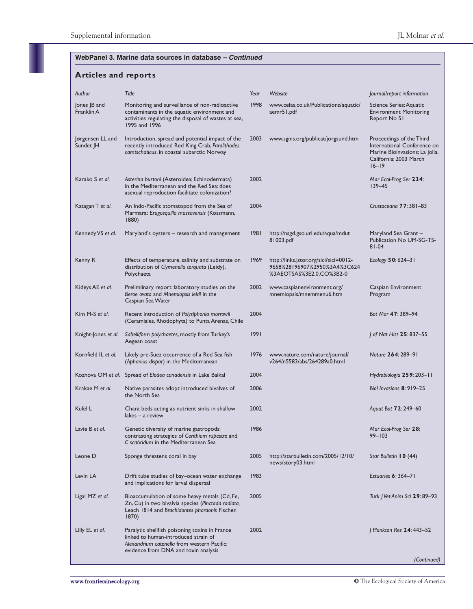| Author                        | Title                                                                                                                                                                         | Year | Website                                                                                            | Journal/report information                                                                                                       |
|-------------------------------|-------------------------------------------------------------------------------------------------------------------------------------------------------------------------------|------|----------------------------------------------------------------------------------------------------|----------------------------------------------------------------------------------------------------------------------------------|
| Jones JB and<br>Franklin A    | Monitoring and surveillance of non-radioactive<br>contaminants in the aquatic environment and<br>activities regulating the disposal of wastes at sea,<br>1995 and 1996        | 1998 | www.cefas.co.uk/Publications/aquatic/<br>aemr51.pdf                                                | Science Series: Aquatic<br><b>Environment Monitoring</b><br>Report No 51                                                         |
| Jørgensen LL and<br>Sundet JH | Introduction, spread and potential impact of the<br>recently introduced Red King Crab, Paralithodes<br>camtschaticus, in coastal subarctic Norway                             | 2003 | www.sgnis.org/publicat/jorgsund.htm                                                                | Proceedings of the Third<br>International Conference on<br>Marine Bioinvasions; La Jolla,<br>California; 2003 March<br>$16 - 19$ |
| Karako S et al.               | Asterina burtoni (Asteroidea; Echinodermata)<br>in the Mediterranean and the Red Sea: does<br>asexual reproduction facilitate colonization?                                   | 2002 |                                                                                                    | Mar Ecol-Prog Ser 234:<br>$139 - 45$                                                                                             |
| Katagan T et al.              | An Indo-Pacific stomatopod from the Sea of<br>Marmara: Erugosquilla massavensis (Kossmann,<br>1880)                                                                           | 2004 |                                                                                                    | Crustaceana 77: 381-83                                                                                                           |
| Kennedy VS et al.             | Maryland's oysters – research and management                                                                                                                                  | 1981 | http://nsgd.gso.uri.edu/aqua/mdut<br>81003.pdf                                                     | Maryland Sea Grant -<br>Publication No UM-SG-TS-<br>$81 - 04$                                                                    |
| Kenny R                       | Effects of temperature, salinity and substrate on<br>distribution of Clymenella torquata (Leidy),<br>Polychaeta                                                               | 1969 | http://links.jstor.org/sici?sici=0012-<br>9658%28196907%2950%3A4%3C624<br>%3AEOTSAS%3E2.0.CO%3B2-0 | Ecology $50:624-31$                                                                                                              |
| Kideys AE et al.              | Prelimlinary report: laboratory studies on the<br>Beroe ovata and Mnemiopsis leidi in the<br>Caspian Sea Water                                                                | 2002 | www.caspianenvironment.org/<br>mnemiopsis/mnemmenu6.htm                                            | Caspian Environment<br>Program                                                                                                   |
| Kim M-S et al.                | Recent introduction of Polysiphonia morrowii<br>(Ceramiales, Rhodophyta) to Punta Arenas, Chile                                                                               | 2004 |                                                                                                    | Bot Mar 47: 389-94                                                                                                               |
| Knight-Jones et al.           | Sabelliform polychaetes, mostly from Turkey's<br>Aegean coast                                                                                                                 | 1991 |                                                                                                    | J of Nat Hist 25: 837–55                                                                                                         |
| Kornfield IL et al.           | Likely pre-Suez occurrence of a Red Sea fish<br>(Aphanius dispar) in the Mediterranean                                                                                        | 1976 | www.nature.com/nature/journal/<br>v264/n5583/abs/264289a0.html                                     | Nature 264: 289-91                                                                                                               |
|                               | Kozhova OM et al. Spread of Elodea canadensis in Lake Baikal                                                                                                                  | 2004 |                                                                                                    | Hydrobiologia 259: 203-11                                                                                                        |
| Krakae M et al.               | Native parasites adopt introduced bivalves of<br>the North Sea                                                                                                                | 2006 |                                                                                                    | Biol Invasions 8: 919-25                                                                                                         |
| Kufel L                       | Chara beds acting as nutrient sinks in shallow<br>lakes - a review                                                                                                            | 2002 |                                                                                                    | Aguat Bot 72: 249-60                                                                                                             |
| Lavie B et al.                | Genetic diversity of marine gastropods:<br>contrasting strategies of Cerithium rupestre and<br>C scabridum in the Mediterranean Sea                                           | 1986 |                                                                                                    | Mar Ecol-Prog Ser 28:<br>$99 - 103$                                                                                              |
| Leone D                       | Sponge threatens coral in bay                                                                                                                                                 | 2005 | http://starbulletin.com/2005/12/10/<br>news/story03.html                                           | Star Bulletin 10 (44)                                                                                                            |
| Levin LA                      | Drift tube studies of bay–ocean water exchange<br>and implications for larval dispersal                                                                                       | 1983 |                                                                                                    | Estuaries 6: 364-71                                                                                                              |
| Ligal MZ et al.               | Bioaccumulation of some heavy metals (Cd, Fe,<br>Zn, Cu) in two bivalvia species (Pinctada radiata,<br>Leach 1814 and Brachidontes pharaonis Fischer,<br>1870)                | 2005 |                                                                                                    | Turk   Vet Anim Sci 29: 89-93                                                                                                    |
| Lilly EL et al.               | Paralytic shellfish poisoning toxins in France<br>linked to human-introduced strain of<br>Alexandrium catenella from western Pacific:<br>evidence from DNA and toxin analysis | 2002 |                                                                                                    | Plankton Res 24: 443-52                                                                                                          |
|                               |                                                                                                                                                                               |      |                                                                                                    | (Continued)                                                                                                                      |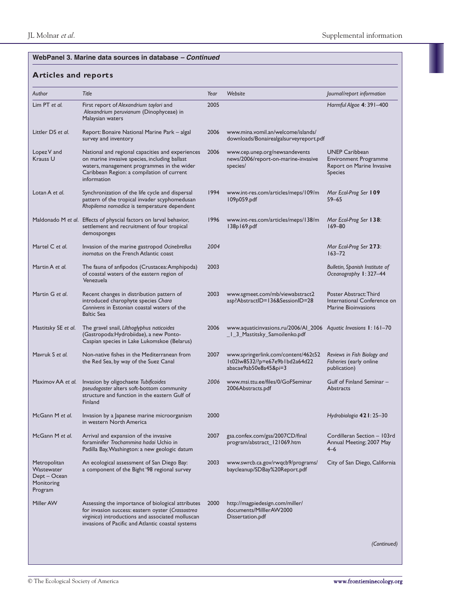| Lim PT et al.<br>Littler DS et al.<br>Lopez V and<br>Krauss U<br>Lotan A et al. | First report of Alexandrium taylori and<br>Alexandrium peruvianum (Dinophyceae) in<br>Malaysian waters<br>Report: Bonaire National Marine Park - algal<br>survey and inventory<br>National and regional capacities and experiences<br>on marine invasive species, including ballast<br>waters, management programmes in the wider<br>Caribbean Region: a compilation of current<br>information | 2005<br>2006<br>2006 | www.mina.vomil.an/welcome/islands/<br>downloads/Bonairealgalsurveyreport.pdf<br>www.cep.unep.org/newsandevents | Harmful Algae 4: 391-400                                                                             |
|---------------------------------------------------------------------------------|------------------------------------------------------------------------------------------------------------------------------------------------------------------------------------------------------------------------------------------------------------------------------------------------------------------------------------------------------------------------------------------------|----------------------|----------------------------------------------------------------------------------------------------------------|------------------------------------------------------------------------------------------------------|
|                                                                                 |                                                                                                                                                                                                                                                                                                                                                                                                |                      |                                                                                                                |                                                                                                      |
|                                                                                 |                                                                                                                                                                                                                                                                                                                                                                                                |                      |                                                                                                                |                                                                                                      |
|                                                                                 |                                                                                                                                                                                                                                                                                                                                                                                                |                      | news/2006/report-on-marine-invasive<br>species/                                                                | <b>UNEP Caribbean</b><br><b>Environment Programme</b><br>Report on Marine Invasive<br><b>Species</b> |
|                                                                                 | Synchronization of the life cycle and dispersal<br>pattern of the tropical invader scyphomedusan<br>Rhopilema nomadica is temperature dependent                                                                                                                                                                                                                                                | 1994                 | www.int-res.com/articles/meps/109/m<br>109p059.pdf                                                             | Mar Ecol-Prog Ser 109<br>$59 - 65$                                                                   |
|                                                                                 | Maldonado M et al. Effects of physcial factors on larval behavior,<br>settlement and recruitment of four tropical<br>demosponges                                                                                                                                                                                                                                                               | 1996                 | www.int-res.com/articles/meps/138/m<br>138p169.pdf                                                             | Mar Ecol-Prog Ser 138:<br>$169 - 80$                                                                 |
| Martel C et al.                                                                 | Invasion of the marine gastropod Ocinebrellus<br>inornatus on the French Atlantic coast                                                                                                                                                                                                                                                                                                        | 2004                 |                                                                                                                | Mar Ecol-Prog Ser 273:<br>$163 - 72$                                                                 |
| Martin A et al.                                                                 | The fauna of anfipodos (Crustacea: Amphipoda)<br>of coastal waters of the eastern region of<br>Venezuela                                                                                                                                                                                                                                                                                       | 2003                 |                                                                                                                | Bulletin, Spanish Institute of<br>Oceanography 1:327-44                                              |
| Martin G et al.                                                                 | Recent changes in distribution pattern of<br>introduced charophyte species Chara<br>Connivens in Estonian coastal waters of the<br><b>Baltic Sea</b>                                                                                                                                                                                                                                           | 2003                 | www.sgmeet.com/mb/viewabstract2<br>asp?AbstractID=136&SessionID=28                                             | Poster Abstract: Third<br>International Conference on<br><b>Marine Bioinvasions</b>                  |
| Mastitsky SE et al.                                                             | The gravel snail, Lilthoglyphus naticoides<br>(Gastropoda:Hydrobiidae), a new Ponto-<br>Caspian species in Lake Lukomskoe (Belarus)                                                                                                                                                                                                                                                            | 2006                 | www.aquaticinvasions.ru/2006/Al_2006 Aquatic Invasions 1: 161-70<br>_1_3_Mastitsky_Samoilenko.pdf              |                                                                                                      |
| Mavruk S et al.                                                                 | Non-native fishes in the Mediterranean from<br>the Red Sea, by way of the Suez Canal                                                                                                                                                                                                                                                                                                           | 2007                 | www.springerlink.com/content/462t52<br>It02Iw8532/?p=e67e9b1bd2a64d22<br>$abacae9ab50e8a45π=3$                 | Reviews in Fish Biology and<br>Fisheries (early online<br>publication)                               |
| Maximov AA et al.                                                               | Invasion by oligochaete Tubificoides<br>pseudogaster alters soft-bottom community<br>structure and function in the eastern Gulf of<br>Finland                                                                                                                                                                                                                                                  | 2006                 | www.msi.ttu.ee/files/0/GoFSeminar<br>2006Abstracts.pdf                                                         | Gulf of Finland Seminar -<br>Abstracts                                                               |
| McGann M et al.                                                                 | Invasion by a Japanese marine microorganism<br>in western North America                                                                                                                                                                                                                                                                                                                        | 2000                 |                                                                                                                | Hydrobiologia 421: 25-30                                                                             |
| McGann M et al.                                                                 | Arrival and expansion of the invasive<br>foraminifer Trochammina hadai Uchio in<br>Padilla Bay, Washington: a new geologic datum                                                                                                                                                                                                                                                               | 2007                 | gsa.confex.com/gsa/2007CD/final<br>program/abstract_121069.htm                                                 | Cordilleran Section - 103rd<br>Annual Meeting; 2007 May<br>$4 - 6$                                   |
| Metropolitan<br>Wastewater<br>Dept – Ocean<br>Monitoring<br>Program             | An ecological assessment of San Diego Bay:<br>a component of the Bight '98 regional survey                                                                                                                                                                                                                                                                                                     | 2003                 | www.swrcb.ca.gov/rwqcb9/programs/<br>baycleanup/SDBay%20Report.pdf                                             | City of San Diego, California                                                                        |
| Miller AW                                                                       | Assessing the importance of biological attributes<br>for invasion success: eastern oyster (Crassostrea<br>virginica) introductions and associated molluscan<br>invasions of Pacific and Atlantic coastal systems                                                                                                                                                                               | 2000                 | http://magpiedesign.com/miller/<br>documents/MilllerAW2000<br>Dissertation.pdf                                 |                                                                                                      |
|                                                                                 |                                                                                                                                                                                                                                                                                                                                                                                                |                      |                                                                                                                | (Continued)                                                                                          |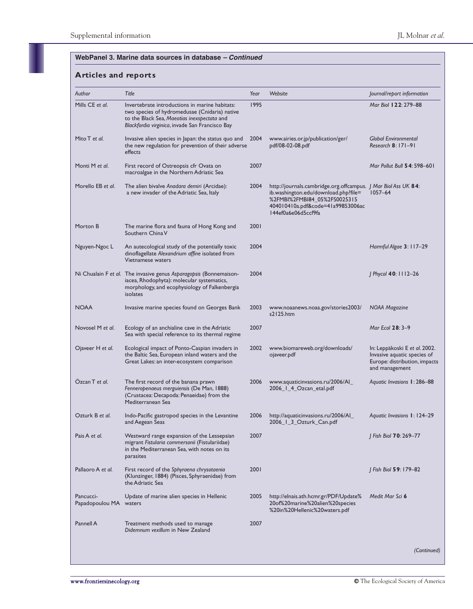| Author                       | Title                                                                                                                                                                                             | Year | Website                                                                                                                                                                                                      | Journal/report information                                                                                      |
|------------------------------|---------------------------------------------------------------------------------------------------------------------------------------------------------------------------------------------------|------|--------------------------------------------------------------------------------------------------------------------------------------------------------------------------------------------------------------|-----------------------------------------------------------------------------------------------------------------|
| Mills CE et al.              | Invertebrate introductions in marine habitats:<br>two species of hydromedusae (Cnidaria) native<br>to the Black Sea, Maeotias inexspectata and<br>Blackfordia virginica, invade San Francisco Bay | 1995 |                                                                                                                                                                                                              | Mar Biol 122: 279-88                                                                                            |
| Mito T et al.                | Invasive alien species in Japan: the status quo and<br>the new regulation for prevention of their adverse<br>effects                                                                              | 2004 | www.airies.or.jp/publication/ger/<br>pdf/08-02-08.pdf                                                                                                                                                        | <b>Global Environmental</b><br>Research $8:171-91$                                                              |
| Monti M et al.               | First record of Ostreopsis cfr Ovata on<br>macroalgae in the Northern Adriatic Sea                                                                                                                | 2007 |                                                                                                                                                                                                              | Mar Pollut Bull 54: 598–601                                                                                     |
| Morello EB et al.            | The alien bivalve Anadara demiri (Arcidae):<br>a new invader of the Adriatic Sea, Italy                                                                                                           | 2004 | http://journals.cambridge.org.offcampus.   J Mar Biol Ass UK <b>84</b> :<br>ib.washington.edu/download.php?file=<br>%2FMBI%2FMBI84_05%2FS0025315<br>404010410a.pdf&code=41a99853006ac<br>144ef0a6e06d5ccf9fa | $1057 - 64$                                                                                                     |
| Morton B                     | The marine flora and fauna of Hong Kong and<br>Southern China V                                                                                                                                   | 2001 |                                                                                                                                                                                                              |                                                                                                                 |
| Nguyen-Ngoc L                | An autecological study of the potentially toxic<br>dinoflagellate Alexandrium affine isolated from<br>Vietnamese waters                                                                           | 2004 |                                                                                                                                                                                                              | Harmful Algae 3: 117-29                                                                                         |
|                              | Ni Chualain F et al. The invasive genus Asparagopsis (Bonnemaison-<br>iacea, Rhodophyta): molecular systematics,<br>morphology, and ecophysiology of Falkenbergia<br>isolates                     | 2004 |                                                                                                                                                                                                              | Phycol 40: 1112-26                                                                                              |
| <b>NOAA</b>                  | Invasive marine species found on Georges Bank                                                                                                                                                     | 2003 | www.noaanews.noaa.gov/stories2003/<br>s2125.htm                                                                                                                                                              | NOAA Magazine                                                                                                   |
| Novosel M et al.             | Ecology of an anchialine cave in the Adriatic<br>Sea with special reference to its thermal regime                                                                                                 | 2007 |                                                                                                                                                                                                              | Mar Ecol 28: 3-9                                                                                                |
| Ojaveer H et al.             | Ecological impact of Ponto-Caspian invaders in<br>the Baltic Sea, European inland waters and the<br>Great Lakes: an inter-ecosystem comparison                                                    | 2002 | www.biomareweb.org/downloads/<br>ojaveer.pdf                                                                                                                                                                 | In: Leppäkoski E et al. 2002.<br>Invasive aquatic species of<br>Europe: distribution, impacts<br>and management |
| Özcan T et al.               | The first record of the banana prawn<br>Fenneropenaeus merguiensis (De Man, 1888)<br>(Crustacea: Decapoda: Penaeidae) from the<br>Mediterranean Sea                                               | 2006 | www.aquaticinvasions.ru/2006/Al_<br>2006_1_4_Ozcan_etal.pdf                                                                                                                                                  | Aquatic Invasions 1:286–88                                                                                      |
| Ozturk B et al.              | Indo-Pacific gastropod species in the Levantine<br>and Aegean Seas                                                                                                                                | 2006 | http://aquaticinvasions.ru/2006/AI<br>2006_1_3_Ozturk_Can.pdf                                                                                                                                                | Aquatic Invasions 1:124-29                                                                                      |
| Pais A et al.                | Westward range expansion of the Lessepsian<br>migrant Fistularia commersonii (Fistulariidae)<br>in the Mediterranean Sea, with notes on its<br>parasites                                          | 2007 |                                                                                                                                                                                                              | J Fish Biol 70: 269-77                                                                                          |
| Pallaoro A et al.            | First record of the Sphyraena chrysotaenia<br>(Klunzinger, 1884) (Pisces, Sphyraenidae) from<br>the Adriatic Sea                                                                                  | 2001 |                                                                                                                                                                                                              | Fish Biol 59: 179-82                                                                                            |
| Pancucci-<br>Papadopoulou MA | Update of marine alien species in Hellenic<br>waters                                                                                                                                              | 2005 | http://elnais.ath.hcmr.gr/PDF/Update%<br>20of%20marine%20alien%20species<br>%20in%20Hellenic%20waters.pdf                                                                                                    | Medit Mar Sci <b>6</b>                                                                                          |
| Pannell A                    | Treatment methods used to manage<br>Didemnum vexillum in New Zealand                                                                                                                              | 2007 |                                                                                                                                                                                                              |                                                                                                                 |
|                              |                                                                                                                                                                                                   |      |                                                                                                                                                                                                              | (Continued)                                                                                                     |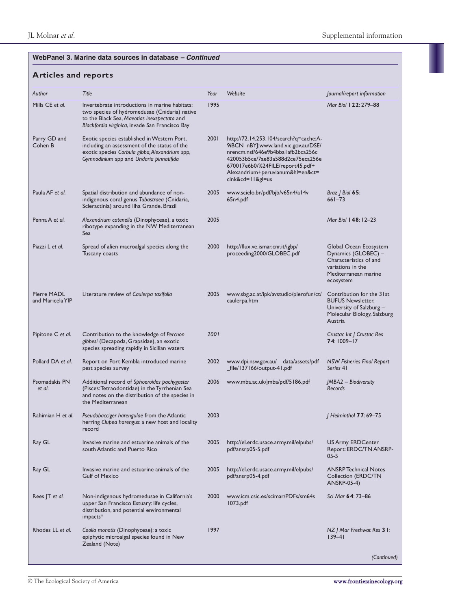| Author                          | <b>Title</b>                                                                                                                                                                                      | Year | Website                                                                                                                                                                                                                                               | Journal/report information                                                                                                        |
|---------------------------------|---------------------------------------------------------------------------------------------------------------------------------------------------------------------------------------------------|------|-------------------------------------------------------------------------------------------------------------------------------------------------------------------------------------------------------------------------------------------------------|-----------------------------------------------------------------------------------------------------------------------------------|
| Mills CE et al.                 | Invertebrate introductions in marine habitats:<br>two species of hydromedusae (Cnidaria) native<br>to the Black Sea, Maeotias inexspectata and<br>Blackfordia virginica, invade San Francisco Bay | 1995 |                                                                                                                                                                                                                                                       | Mar Biol 122: 279-88                                                                                                              |
| Parry GD and<br>Cohen B         | Exotic species established in Western Port,<br>including an assessment of the status of the<br>exotic species Corbula gibba, Alexandrium spp,<br>Gymnodinium spp and Undaria pinnatifida          | 2001 | http://72.14.253.104/search?q=cache:A-<br>9iBCN_nBYJ:www.land.vic.gov.au/DSE/<br>nrencm.nsf/646e9b4bbalafb2bca256c<br>420053b5ce/7ae83a588d2ce75eca256e<br>670017e6b0/%24FILE/report45.pdf+<br>Alexandrium+peruvianum&hl=en&ct=<br>$clnk\&cd=11\≷=us$ |                                                                                                                                   |
| Paula AF et al.                 | Spatial distribution and abundance of non-<br>indigenous coral genus Tubastraea (Cnidaria,<br>Scleractinia) around Ilha Grande, Brazil                                                            | 2005 | www.scielo.br/pdf/bjb/v65n4/al4v<br>65n4.pdf                                                                                                                                                                                                          | Braz   Biol <b>65</b> :<br>661–73                                                                                                 |
| Penna A et al.                  | Alexandrium catenella (Dinophyceae), a toxic<br>ribotype expanding in the NW Mediterranean<br>Sea                                                                                                 | 2005 |                                                                                                                                                                                                                                                       | Mar Biol 148: 12-23                                                                                                               |
| Piazzi L et al.                 | Spread of alien macroalgal species along the<br>Tuscany coasts                                                                                                                                    | 2000 | http://flux.ve.ismar.cnr.it/igbp/<br>proceeding2000/GLOBEC.pdf                                                                                                                                                                                        | Global Ocean Ecosystem<br>Dynamics (GLOBEC) –<br>Characteristics of and<br>variations in the<br>Mediterranean marine<br>ecosystem |
| Pierre MADL<br>and Maricela YIP | Literature review of Caulerpa taxifolia                                                                                                                                                           | 2005 | www.sbg.ac.at/ipk/avstudio/pierofun/ct/<br>caulerpa.htm                                                                                                                                                                                               | Contribution for the 31st<br><b>BUFUS Newsletter,</b><br>University of Salzburg –<br>Molecular Biology, Salzburg<br>Austria       |
| Pipitone C et al.               | Contribution to the knowledge of Percnon<br>gibbesi (Decapoda, Grapsidae), an exotic<br>species spreading rapidly in Sicilian waters                                                              | 2001 |                                                                                                                                                                                                                                                       | Crustac Int   Crustac Res<br>74: 1009–17                                                                                          |
| Pollard DA et al.               | Report on Port Kembla introduced marine<br>pest species survey                                                                                                                                    | 2002 | www.dpi.nsw.gov.au/_data/assets/pdf<br>_file/137166/output-41.pdf                                                                                                                                                                                     | <b>NSW Fisheries Final Report</b><br>Series 41                                                                                    |
| Psomadakis PN<br>et al.         | Additional record of Sphoeroides pachygaster<br>(Pisces: Tetraodontidae) in the Tyrrhenian Sea<br>and notes on the distribution of the species in<br>the Mediterranean                            | 2006 | www.mba.ac.uk/jmba/pdf/5186.pdf                                                                                                                                                                                                                       | JMBA2 - Biodiversity<br>Records                                                                                                   |
| Rahimian H et al.               | Pseudobacciger harengulae from the Atlantic<br>herring Clupea harengus: a new host and locality<br>record                                                                                         | 2003 |                                                                                                                                                                                                                                                       | J Helminthol 77:69-75                                                                                                             |
| Ray GL                          | Invasive marine and estuarine animals of the<br>south Atlantic and Puerto Rico                                                                                                                    | 2005 | http://el.erdc.usace.army.mil/elpubs/<br>pdf/ansrp05-5.pdf                                                                                                                                                                                            | US Army ERDCenter<br>Report: ERDC/TN ANSRP-<br>$05 - 5$                                                                           |
| Ray GL                          | Invasive marine and estuarine animals of the<br><b>Gulf of Mexico</b>                                                                                                                             | 2005 | http://el.erdc.usace.army.mil/elpubs/<br>pdf/ansrp05-4.pdf                                                                                                                                                                                            | <b>ANSRP Technical Notes</b><br>Collection (ERDC/TN<br>ANSRP-05-4)                                                                |
| Rees JT et al.                  | Non-indigenous hydromedusae in California's<br>upper San Francisco Estuary: life cycles,<br>distribution, and potential environmental<br>impacts*                                                 | 2000 | www.icm.csic.es/scimar/PDFs/sm64s<br>1073.pdf                                                                                                                                                                                                         | Sci Mar <b>64</b> :73–86                                                                                                          |
| Rhodes LL et al.                | Coolia monotis (Dinophyceae): a toxic<br>epiphytic microalgal species found in New<br>Zealand (Note)                                                                                              | 1997 |                                                                                                                                                                                                                                                       | $NZ$ J Mar Freshwat Res $31$ :<br>$139 - 41$                                                                                      |
|                                 |                                                                                                                                                                                                   |      |                                                                                                                                                                                                                                                       | (Continued)                                                                                                                       |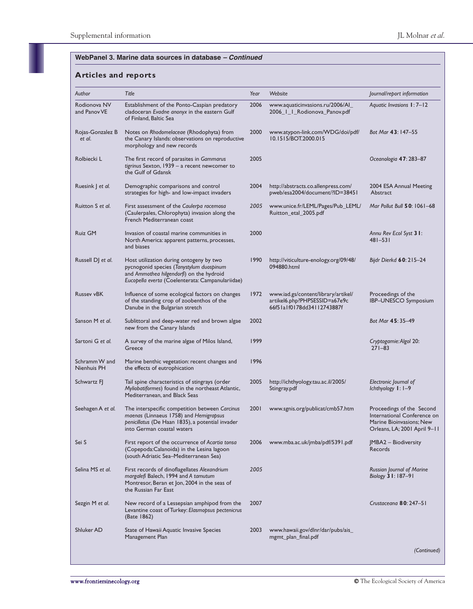| Author                       | Title                                                                                                                                                                               | Year | Website                                                                                                    | Journal/report information                                                                                           |
|------------------------------|-------------------------------------------------------------------------------------------------------------------------------------------------------------------------------------|------|------------------------------------------------------------------------------------------------------------|----------------------------------------------------------------------------------------------------------------------|
| Rodionova NV<br>and Panov VE | Establishment of the Ponto-Caspian predatory<br>cladoceran Evadne anonyx in the eastern Gulf<br>of Finland, Baltic Sea                                                              | 2006 | www.aquaticinvasions.ru/2006/Al_<br>2006_I_I_Rodionova_Panov.pdf                                           | Aquatic Invasions 1:7-12                                                                                             |
| Rojas-Gonzalez B<br>et al.   | Notes on Rhodomelaceae (Rhodophyta) from<br>the Canary Islands: observations on reproductive<br>morphology and new records                                                          | 2000 | www.atypon-link.com/WDG/doi/pdf/<br>10.1515/BOT.2000.015                                                   | Bot Mar 43: 147-55                                                                                                   |
| Rolbiecki L                  | The first record of parasites in Gammarus<br>tigrinus Sexton, $1939 - a$ recent newcomer to<br>the Gulf of Gdansk                                                                   | 2005 |                                                                                                            | Oceanologia 47: 283-87                                                                                               |
| Ruesink J et al.             | Demographic comparisons and control<br>strategies for high- and low-impact invaders                                                                                                 | 2004 | http://abstracts.co.allenpress.com/<br>pweb/esa2004/document/?ID=38451                                     | 2004 ESA Annual Meeting<br>Abstract                                                                                  |
| Ruitton S et al.             | First assessment of the Caulerpa racemosa<br>(Caulerpales, Chlorophyta) invasion along the<br>French Mediterranean coast                                                            | 2005 | www.unice.fr/LEML/Pages/Pub_LEML/<br>Ruitton_etal_2005.pdf                                                 | Mar Pollut Bull 50: 1061-68                                                                                          |
| Ruiz GM                      | Invasion of coastal marine communities in<br>North America: apparent patterns, processes,<br>and biases                                                                             | 2000 |                                                                                                            | Annu Rev Ecol Syst 3 I:<br>$481 - 531$                                                                               |
| Russell DJ et al.            | Host utilization during ontogeny by two<br>pycnogonid species (Tanystylum duospinum<br>and Ammothea hilgendorfi) on the hydroid<br>Eucopella everta (Coelenterata: Campanulariidae) | 1990 | http://viticulture-enology.org/09/48/<br>094880.html                                                       | Bijdr Dierkd 60: 215-24                                                                                              |
| Russev vBK                   | Influence of some ecological factors on changes<br>of the standing crop of zoobenthos of the<br>Danube in the Bulgarian stretch                                                     | 1972 | www.iad.gs/content/library/artikel/<br>artikel6.php?PHPSESSID=a67e9c<br>66f5   a   f0   78dd34   12743887f | Proceedings of the<br>IBP-UNESCO Symposium                                                                           |
| Sanson M et al.              | Sublittoral and deep-water red and brown algae<br>new from the Canary Islands                                                                                                       | 2002 |                                                                                                            | Bot Mar 45: 35-49                                                                                                    |
| Sartoni G et al.             | A survey of the marine algae of Milos Island,<br>Greece                                                                                                                             | 1999 |                                                                                                            | Cryptogamie: Algol 20:<br>$271 - 83$                                                                                 |
| Schramm W and<br>Nienhuis PH | Marine benthic vegetation: recent changes and<br>the effects of eutrophication                                                                                                      | 1996 |                                                                                                            |                                                                                                                      |
| Schwartz FJ                  | Tail spine characteristics of stingrays (order<br>Myliobatiformes) found in the northeast Atlantic,<br>Mediterranean, and Black Seas                                                | 2005 | http://ichthyology.tau.ac.il/2005/<br>Stingray.pdf                                                         | Electronic Journal of<br>Ichthyology I: I-9                                                                          |
| Seehagen A et al.            | The interspecific competition between Carcinus<br>maenas (Linnaeus 1758) and Hemigrapsus<br>penicillatus (De Haan 1835), a potential invader<br>into German coastal waters          | 2001 | www.sgnis.org/publicat/cmb57.htm                                                                           | Proceedings of the Second<br>International Conference on<br>Marine Bioinvasions; New<br>Orleans, LA; 2001 April 9–11 |
| Sei S                        | First report of the occurrence of Acartia tonsa<br>(Copepoda:Calanoida) in the Lesina lagoon<br>(south Adriatic Sea–Mediterranean Sea)                                              | 2006 | www.mba.ac.uk/jmba/pdf/5391.pdf                                                                            | JMBA2 – Biodiversity<br>Records                                                                                      |
| Selina MS et al.             | First records of dinoflagellates Alexandrium<br>margalefi Balech, 1994 and A tamutum<br>Montresor, Beran et Jon, 2004 in the seas of<br>the Russian Far East                        | 2005 |                                                                                                            | <b>Russian Journal of Marine</b><br>Biology 3 1: 187-91                                                              |
| Sezgin M et al.              | New record of a Lessepsian amphipod from the<br>Levantine coast of Turkey: Elasmopsus pectenicrus<br>(Bate 1862)                                                                    | 2007 |                                                                                                            | Crustaceana 80: 247-51                                                                                               |
| Shluker AD                   | State of Hawaii Aquatic Invasive Species<br>Management Plan                                                                                                                         | 2003 | www.hawaii.gov/dlnr/dar/pubs/ais_<br>mgmt_plan_final.pdf                                                   |                                                                                                                      |
|                              |                                                                                                                                                                                     |      |                                                                                                            | (Continued)                                                                                                          |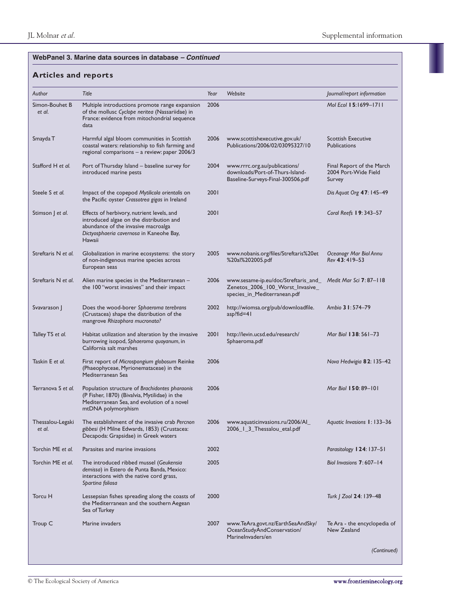| Simon-Bouhet B<br>2006<br>Mol Ecol 15:1699-1711<br>Multiple introductions promote range expansion<br>of the mollusc Cyclope neritea (Nassariidae) in<br>et al.<br>France: evidence from mitochondrial sequence<br>data<br>Smayda T<br>2006<br><b>Scottish Executive</b><br>Harmful algal bloom communities in Scottish<br>www.scottishexecutive.gov.uk/<br>Publications/2006/02/03095327/10<br>coastal waters: relationship to fish farming and<br><b>Publications</b><br>regional comparisons $-$ a review: paper 2006/3<br>Stafford H et al.<br>2004<br>Port of Thursday Island - baseline survey for<br>www.rrrc.org.au/publications/<br>Final Report of the March<br>downloads/Port-of-Thurs-Island-<br>2004 Port-Wide Field<br>introduced marine pests<br>Baseline-Surveys-Final-300506.pdf<br>Survey<br>2001<br>Steele S et al.<br>Impact of the copepod Mytilicola orientalis on<br>Dis Aquat Org <b>47</b> : 145–49<br>the Pacific oyster Crassotrea gigas in Ireland<br>2001<br>Effects of herbivory, nutrient levels, and<br>Coral Reefs 19:343-57<br>Stimson J et al.<br>introduced algae on the distribution and<br>abundance of the invasive macroalga<br>Dictyosphaeria cavernosa in Kaneohe Bay,<br>Hawaii<br>Streftaris N et al.<br>2005<br>Globalization in marine ecosystems: the story<br>www.nobanis.org/files/Streftaris%20et<br>Oceanogr Mar Biol Annu<br>%20al%202005.pdf<br>Rev 43: 419-53<br>of non-indigenous marine species across<br>European seas<br>Streftaris N et al.<br>2006<br>Medit Mar Sci 7:87-118<br>Alien marine species in the Mediterranean -<br>www.sesame-ip.eu/doc/Streftaris_and_<br>the 100 "worst invasives" and their impact<br>Zenetos_2006_100_Worst_Invasive_<br>species_in_Mediterranean.pdf<br>Does the wood-borer Sphaeroma terebrans<br>2002<br>Ambio 3 1:574-79<br>Svavarason J<br>http://wiomsa.org/pub/downloadfile.<br>asp?fid=41<br>(Crustacea) shape the distribution of the<br>mangrove Rhizophora mucronata?<br>2001<br>Mar Biol 138: 561-73<br>Talley TS et al.<br>Habitat utilization and alteration by the invasive<br>http://levin.ucsd.edu/research/<br>burrowing isopod, Sphaeroma quoyanum, in<br>Sphaeroma.pdf<br>California salt marshes<br>Taskin E et al.<br>2006<br>First report of Microspongium globosum Reinke<br>Nova Hedwigia 82: 135–42<br>(Phaeophyceae, Myrionemataceae) in the | <i>lournal/report information</i> |
|--------------------------------------------------------------------------------------------------------------------------------------------------------------------------------------------------------------------------------------------------------------------------------------------------------------------------------------------------------------------------------------------------------------------------------------------------------------------------------------------------------------------------------------------------------------------------------------------------------------------------------------------------------------------------------------------------------------------------------------------------------------------------------------------------------------------------------------------------------------------------------------------------------------------------------------------------------------------------------------------------------------------------------------------------------------------------------------------------------------------------------------------------------------------------------------------------------------------------------------------------------------------------------------------------------------------------------------------------------------------------------------------------------------------------------------------------------------------------------------------------------------------------------------------------------------------------------------------------------------------------------------------------------------------------------------------------------------------------------------------------------------------------------------------------------------------------------------------------------------------------------------------------------------------------------------------------------------------------------------------------------------------------------------------------------------------------------------------------------------------------------------------------------------------------------------------------------------------------------------------------------------------------------------------------------------------------------------------------------------------|-----------------------------------|
|                                                                                                                                                                                                                                                                                                                                                                                                                                                                                                                                                                                                                                                                                                                                                                                                                                                                                                                                                                                                                                                                                                                                                                                                                                                                                                                                                                                                                                                                                                                                                                                                                                                                                                                                                                                                                                                                                                                                                                                                                                                                                                                                                                                                                                                                                                                                                                    |                                   |
|                                                                                                                                                                                                                                                                                                                                                                                                                                                                                                                                                                                                                                                                                                                                                                                                                                                                                                                                                                                                                                                                                                                                                                                                                                                                                                                                                                                                                                                                                                                                                                                                                                                                                                                                                                                                                                                                                                                                                                                                                                                                                                                                                                                                                                                                                                                                                                    |                                   |
|                                                                                                                                                                                                                                                                                                                                                                                                                                                                                                                                                                                                                                                                                                                                                                                                                                                                                                                                                                                                                                                                                                                                                                                                                                                                                                                                                                                                                                                                                                                                                                                                                                                                                                                                                                                                                                                                                                                                                                                                                                                                                                                                                                                                                                                                                                                                                                    |                                   |
|                                                                                                                                                                                                                                                                                                                                                                                                                                                                                                                                                                                                                                                                                                                                                                                                                                                                                                                                                                                                                                                                                                                                                                                                                                                                                                                                                                                                                                                                                                                                                                                                                                                                                                                                                                                                                                                                                                                                                                                                                                                                                                                                                                                                                                                                                                                                                                    |                                   |
|                                                                                                                                                                                                                                                                                                                                                                                                                                                                                                                                                                                                                                                                                                                                                                                                                                                                                                                                                                                                                                                                                                                                                                                                                                                                                                                                                                                                                                                                                                                                                                                                                                                                                                                                                                                                                                                                                                                                                                                                                                                                                                                                                                                                                                                                                                                                                                    |                                   |
|                                                                                                                                                                                                                                                                                                                                                                                                                                                                                                                                                                                                                                                                                                                                                                                                                                                                                                                                                                                                                                                                                                                                                                                                                                                                                                                                                                                                                                                                                                                                                                                                                                                                                                                                                                                                                                                                                                                                                                                                                                                                                                                                                                                                                                                                                                                                                                    |                                   |
|                                                                                                                                                                                                                                                                                                                                                                                                                                                                                                                                                                                                                                                                                                                                                                                                                                                                                                                                                                                                                                                                                                                                                                                                                                                                                                                                                                                                                                                                                                                                                                                                                                                                                                                                                                                                                                                                                                                                                                                                                                                                                                                                                                                                                                                                                                                                                                    |                                   |
|                                                                                                                                                                                                                                                                                                                                                                                                                                                                                                                                                                                                                                                                                                                                                                                                                                                                                                                                                                                                                                                                                                                                                                                                                                                                                                                                                                                                                                                                                                                                                                                                                                                                                                                                                                                                                                                                                                                                                                                                                                                                                                                                                                                                                                                                                                                                                                    |                                   |
|                                                                                                                                                                                                                                                                                                                                                                                                                                                                                                                                                                                                                                                                                                                                                                                                                                                                                                                                                                                                                                                                                                                                                                                                                                                                                                                                                                                                                                                                                                                                                                                                                                                                                                                                                                                                                                                                                                                                                                                                                                                                                                                                                                                                                                                                                                                                                                    |                                   |
| Mediterranean Sea                                                                                                                                                                                                                                                                                                                                                                                                                                                                                                                                                                                                                                                                                                                                                                                                                                                                                                                                                                                                                                                                                                                                                                                                                                                                                                                                                                                                                                                                                                                                                                                                                                                                                                                                                                                                                                                                                                                                                                                                                                                                                                                                                                                                                                                                                                                                                  |                                   |
| Terranova S et al.<br>2006<br>Mar Biol 150: 89-101<br>Population structure of Brachidontes pharaonis<br>(P Fisher, 1870) (Bivalvia, Mytilidae) in the<br>Mediterranean Sea, and evolution of a novel<br>mtDNA polymorphism                                                                                                                                                                                                                                                                                                                                                                                                                                                                                                                                                                                                                                                                                                                                                                                                                                                                                                                                                                                                                                                                                                                                                                                                                                                                                                                                                                                                                                                                                                                                                                                                                                                                                                                                                                                                                                                                                                                                                                                                                                                                                                                                         |                                   |
| The establishment of the invasive crab Percnon<br>Thessalou-Legaki<br>2006<br>www.aquaticinvasions.ru/2006/Al_<br>Aquatic Invasions 1: 133-36<br>2006_1_3_Thessalou_etal.pdf<br>gibbesi (H Milne Edwards, 1853) (Crustacea:<br>et al.<br>Decapoda: Grapsidae) in Greek waters                                                                                                                                                                                                                                                                                                                                                                                                                                                                                                                                                                                                                                                                                                                                                                                                                                                                                                                                                                                                                                                                                                                                                                                                                                                                                                                                                                                                                                                                                                                                                                                                                                                                                                                                                                                                                                                                                                                                                                                                                                                                                      |                                   |
| Torchin ME et al.<br>Parasites and marine invasions<br>2002<br>Parasitology 124: 137–51                                                                                                                                                                                                                                                                                                                                                                                                                                                                                                                                                                                                                                                                                                                                                                                                                                                                                                                                                                                                                                                                                                                                                                                                                                                                                                                                                                                                                                                                                                                                                                                                                                                                                                                                                                                                                                                                                                                                                                                                                                                                                                                                                                                                                                                                            |                                   |
| Torchin ME et al.<br>2005<br>The introduced ribbed mussel (Geukensia<br>Biol Invasions $7:607-14$<br>demissa) in Estero de Punta Banda, Mexico:<br>interactions with the native cord grass,<br>Spartina foliosa                                                                                                                                                                                                                                                                                                                                                                                                                                                                                                                                                                                                                                                                                                                                                                                                                                                                                                                                                                                                                                                                                                                                                                                                                                                                                                                                                                                                                                                                                                                                                                                                                                                                                                                                                                                                                                                                                                                                                                                                                                                                                                                                                    |                                   |
| Torcu H<br>2000<br>Lessepsian fishes spreading along the coasts of<br>Turk   Zool <b>24</b> : 139–48<br>the Mediterranean and the southern Aegean<br>Sea of Turkey                                                                                                                                                                                                                                                                                                                                                                                                                                                                                                                                                                                                                                                                                                                                                                                                                                                                                                                                                                                                                                                                                                                                                                                                                                                                                                                                                                                                                                                                                                                                                                                                                                                                                                                                                                                                                                                                                                                                                                                                                                                                                                                                                                                                 |                                   |
| Troup C<br>Marine invaders<br>2007<br>www.TeAra.govt.nz/EarthSeaAndSky/<br>New Zealand<br>OceanStudyAndConservation/<br>Marinelnyaders/en                                                                                                                                                                                                                                                                                                                                                                                                                                                                                                                                                                                                                                                                                                                                                                                                                                                                                                                                                                                                                                                                                                                                                                                                                                                                                                                                                                                                                                                                                                                                                                                                                                                                                                                                                                                                                                                                                                                                                                                                                                                                                                                                                                                                                          | Te Ara - the encyclopedia of      |
|                                                                                                                                                                                                                                                                                                                                                                                                                                                                                                                                                                                                                                                                                                                                                                                                                                                                                                                                                                                                                                                                                                                                                                                                                                                                                                                                                                                                                                                                                                                                                                                                                                                                                                                                                                                                                                                                                                                                                                                                                                                                                                                                                                                                                                                                                                                                                                    | (Continued)                       |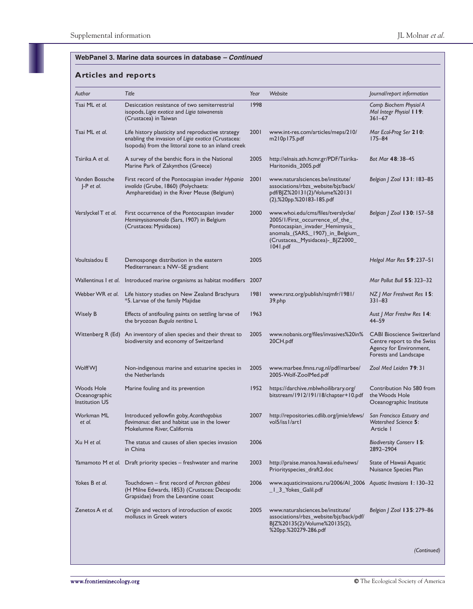| Author                                                      | Title                                                                                                                                                         | Year | Website                                                                                                                                                                                      | Journal/report information                                                                                           |
|-------------------------------------------------------------|---------------------------------------------------------------------------------------------------------------------------------------------------------------|------|----------------------------------------------------------------------------------------------------------------------------------------------------------------------------------------------|----------------------------------------------------------------------------------------------------------------------|
| Tsai ML et al.                                              | Desiccation resistance of two semiterrestrial<br>isopods, Ligia exotica and Ligia taiwanensis<br>(Crustacea) in Taiwan                                        | 1998 |                                                                                                                                                                                              | Comp Biochem Physiol A<br>Mol Integr Physiol 119:<br>$361 - 67$                                                      |
| Tsai ML et al.                                              | Life history plasticity and reproductive strategy<br>enabling the invasion of Ligia exotica (Crustacea:<br>Isopoda) from the littoral zone to an inland creek | 2001 | www.int-res.com/articles/meps/210/<br>m210p175.pdf                                                                                                                                           | Mar Ecol-Prog Ser 210:<br>$175 - 84$                                                                                 |
| Tsirika A et al.                                            | A survey of the benthic flora in the National<br>Marine Park of Zakynthos (Greece)                                                                            | 2005 | http://elnais.ath.hcmr.gr/PDF/Tsirika-<br>Haritonidis_2005.pdf                                                                                                                               | Bot Mar 48: 38-45                                                                                                    |
| Vanden Bossche<br>$J-P$ et al.                              | First record of the Pontocaspian invader Hypania<br>invalida (Grube, 1860) (Polychaeta:<br>Ampharetidae) in the River Meuse (Belgium)                         | 2001 | www.naturalsciences.be/institute/<br>associations/rbzs_website/bjz/back/<br>pdf/BJZ%20131(2)/Volume%20131<br>(2),%20pp.%20183-185.pdf                                                        | Belgian   Zool 131: 183-85                                                                                           |
| Verslyckel T et al.                                         | First occurrence of the Pontocaspian invader<br>Hemimysisanomala (Sars, 1907) in Belgium<br>(Crustacea: Mysidacea)                                            | 2000 | www.whoi.edu/cms/files/tverslycke/<br>2005/1/First_occurrence_of_the_<br>Pontocaspian_invader_Hemimysis_<br>anomala_(SARS,_1907)_in_Belgium_<br>(Crustacea,_Mysidacea)-_BJZ2000_<br>1041.pdf | Belgian   Zool 130: 157-58                                                                                           |
| Voultsiadou E                                               | Demosponge distribution in the eastern<br>Mediterranean: a NW-SE gradient                                                                                     | 2005 |                                                                                                                                                                                              | Helgol Mar Res 59: 237-51                                                                                            |
|                                                             | Wallentinus I et al. Introduced marine organisms as habitat modifiers 2007                                                                                    |      |                                                                                                                                                                                              | Mar Pollut Bull 55: 323-32                                                                                           |
| Webber WR et al.                                            | Life history studies on New Zealand Brachyura<br>*5. Larvae of the family Majidae                                                                             | 1981 | www.rsnz.org/publish/nzjmfr/1981/<br>39.php                                                                                                                                                  | NZ   Mar Freshwat Res 15:<br>$331 - 83$                                                                              |
| Wisely B                                                    | Effects of antifouling paints on settling larvae of<br>the bryozoan Bugula neritina L                                                                         | 1963 |                                                                                                                                                                                              | Aust J Mar Freshw Res 14:<br>$44 - 59$                                                                               |
| Wittenberg R (Ed)                                           | An inventory of alien species and their threat to<br>biodiversity and economy of Switzerland                                                                  | 2005 | www.nobanis.org/files/invasives%20in%<br>20CH.pdf                                                                                                                                            | <b>CABI Bioscience Switzerland</b><br>Centre report to the Swiss<br>Agency for Environment,<br>Forests and Landscape |
| Wolff WJ                                                    | Non-indigenous marine and estuarine species in<br>the Netherlands                                                                                             | 2005 | www.marbee.fmns.rug.nl/pdf/marbee/<br>2005-Wolf-ZoolMed.pdf                                                                                                                                  | Zool Med Leiden 79:31                                                                                                |
| <b>Woods Hole</b><br>Oceanographic<br><b>Institution US</b> | Marine fouling and its prevention                                                                                                                             | 1952 | https://darchive.mblwhoilibrary.org/<br>bitstream/1912/191/18/chapter+10.pdf                                                                                                                 | Contribution No 580 from<br>the Woods Hole<br>Oceanographic Institute                                                |
| Workman ML<br>et al.                                        | Introduced yellowfin goby, Acanthogobius<br>flavimanus: diet and habitat use in the lower<br>Mokelumne River, California                                      | 2007 | http://repositories.cdlib.org/jmie/sfews/ San Francisco Estuary and<br>vol5/iss I/art1                                                                                                       | <b>Watershed Science 5:</b><br>Article I                                                                             |
| Xu H et al.                                                 | The status and causes of alien species invasion<br>in China                                                                                                   | 2006 |                                                                                                                                                                                              | <b>Biodiversity Conserv 15:</b><br>2892-2904                                                                         |
|                                                             | Yamamoto M et al. Draft priority species – freshwater and marine                                                                                              | 2003 | http://praise.manoa.hawaii.edu/news/<br>Priorityspecies_draft2.doc                                                                                                                           | State of Hawaii Aquatic<br>Nuisance Species Plan                                                                     |
| Yokes B et al.                                              | Touchdown – first record of Percnon gibbesi<br>(H Milne Edwards, 1853) (Crustacea: Decapoda:<br>Grapsidae) from the Levantine coast                           | 2006 | www.aquaticinvasions.ru/2006/Al_2006 Aquatic Invasions 1:130-32<br>_1_3_Yokes_Galil.pdf                                                                                                      |                                                                                                                      |
| Zenetos A et al.                                            | Origin and vectors of introduction of exotic<br>molluscs in Greek waters                                                                                      | 2005 | www.naturalsciences.be/institute/<br>associations/rbzs_website/bjz/back/pdf/<br>BJZ%20135(2)/Volume%20135(2),<br>%20pp.%20279-286.pdf                                                        | Belgian   Zool 135: 279–86                                                                                           |
|                                                             |                                                                                                                                                               |      |                                                                                                                                                                                              | (Continued)                                                                                                          |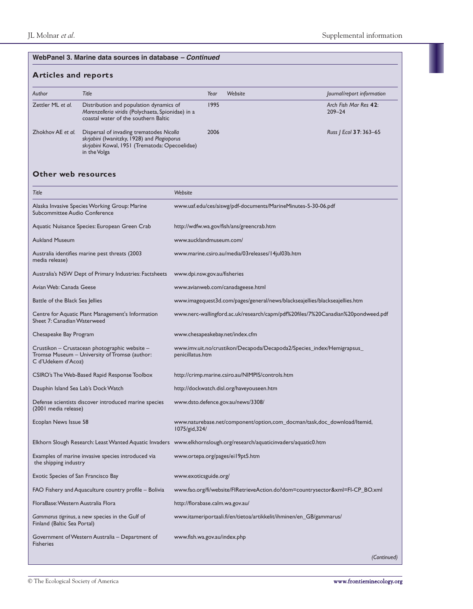# **WebPanel 3. Marine data sources in database** *– Continued* **Articles and reports** *Author Title Year Website Journal/report information* Zettler ML *et al.* Distribution and population dynamics of 1995 *Arch Fish Mar Res* **42**: *Marenzelleria viridis* (Polychaeta, Spionidae) in a coastal water of the southern Baltic Zhokhov AE *et al.* Dispersal of invading trematodes *Nicolla* 2006 *Russ J Ecol* **37**: 363–65 *skrjabini* (Iwanitzky, 1928) and *Plagioporus skrjabini* Kowal, 1951 (Trematoda: Opecoelidae) in the Volga **Other web resources** *Title Website* Alaska Invasive Species Working Group: Marine www.uaf.edu/ces/aiswg/pdf-documents/MarineMinutes-5-30-06.pdf Subcommittee Audio Conference Aquatic Nuisance Species: European Green Crab http://wdfw.wa.gov/fish/ans/greencrab.htm Aukland Museum www.aucklandmuseum.com/ Australia identifies marine pest threats (2003 www.marine.csiro.au/media/03releases/14jul03b.htm media release) Australia's NSW Dept of Primary Industries: Factsheets www.dpi.nsw.gov.au/fisheries Avian Web: Canada Geese www.avianweb.com/canadageese.html Battle of the Black Sea Jellies www.imagequest3d.com/pages/general/news/blackseajellies/blackseajellies.htm Centre for Aquatic Plant Management's Information www.nerc-wallingford.ac.uk/research/capm/pdf%20files/7%20Canadian%20pondweed.pdf Sheet 7: Canadian Waterweed Chesapeake Bay Program www.chesapeakebay.net/index.cfm Crustikon – Crustacean photographic website – www.imv.uit.no/crustikon/Decapoda/Decapoda2/Species\_index/Hemigrapsus\_<br>Tromsø Museum – University of Tromsø (author: penicillatus.htm Tromsø Museum – University of Tromsø (author: C d'Udekem d'Acoz) CSIRO's The Web-Based Rapid Response Toolbox http://crimp.marine.csiro.au/NIMPIS/controls.htm Dauphin Island Sea Lab's Dock Watch http://dockwatch.disl.org/haveyouseen.htm Defense scientists discover introduced marine species www.dsto.defence.gov.au/news/3308/ (2001 media release) Ecoplan News Issue 58 www.naturebase.net/component/option,com\_docman/task,doc\_download/Itemid, 1075/gid,324/ Elkhorn Slough Research: Least Wanted Aquatic Invaders www.elkhornslough.org/research/aquaticinvaders/aquatic0.htm Examples of marine invasive species introduced via www.ortepa.org/pages/ei19pt5.htm the shipping industry Exotic Species of San Francisco Bay www.exoticsguide.org/ FAO Fishery and Aquaculture country profile – Bolivia www.fao.org/fi/website/FIRetrieveAction.do?dom=countrysector&xml=FI-CP\_BO.xml FloraBase:Western Australia Flora http://florabase.calm.wa.gov.au/ *Gammarus tigrinus*, a new species in the Gulf of www.itameriportaali.fi/en/tietoa/artikkelit/ihminen/en\_GB/gammarus/ Finland (Baltic Sea Portal) Government of Western Australia – Department of www.fish.wa.gov.au/index.php Fisheries *(Continued)*

© The Ecological Society of America www.frontiersinecology.org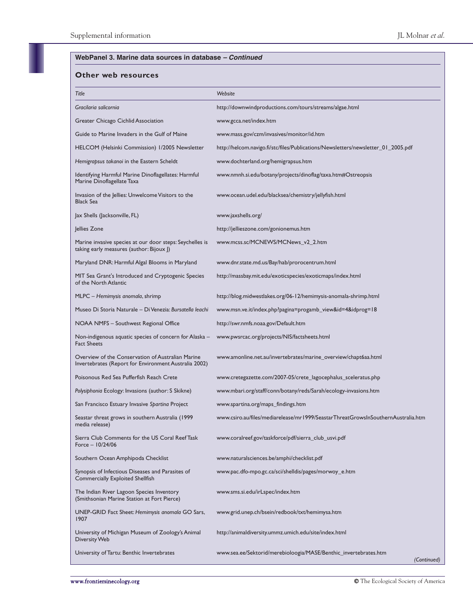### **Other web resources**

| Title                                                                                                      | Website                                                                           |
|------------------------------------------------------------------------------------------------------------|-----------------------------------------------------------------------------------|
| Gracilaria salicornia                                                                                      | http://downwindproductions.com/tours/streams/algae.html                           |
| Greater Chicago Cichlid Association                                                                        | www.gcca.net/index.htm                                                            |
| Guide to Marine Invaders in the Gulf of Maine                                                              | www.mass.gov/czm/invasives/monitor/id.htm                                         |
| HELCOM (Helsinki Commission) 1/2005 Newsletter                                                             | http://helcom.navigo.fi/stc/files/Publications/Newsletters/newsletter_01_2005.pdf |
| Hemigrapsus takanoi in the Eastern Scheldt                                                                 | www.dochterland.org/hemigrapsus.htm                                               |
| Identifying Harmful Marine Dinoflagellates: Harmful<br>Marine Dinoflagellate Taxa                          | www.nmnh.si.edu/botany/projects/dinoflag/taxa.htm#Ostreopsis                      |
| Invasion of the Jellies: Unwelcome Visitors to the<br><b>Black Sea</b>                                     | www.ocean.udel.edu/blacksea/chemistry/jellyfish.html                              |
| Jax Shells (Jacksonville, FL)                                                                              | www.jaxshells.org/                                                                |
| Jellies Zone                                                                                               | http://jellieszone.com/gonionemus.htm                                             |
| Marine invasive species at our door steps: Seychelles is<br>taking early measures (author: Bijoux J)       | www.mcss.sc/MCNEWS/MCNews_v2_2.htm                                                |
| Maryland DNR: Harmful Algal Blooms in Maryland                                                             | www.dnr.state.md.us/Bay/hab/prorocentrum.html                                     |
| MIT Sea Grant's Introduced and Cryptogenic Species<br>of the North Atlantic                                | http://massbay.mit.edu/exoticspecies/exoticmaps/index.html                        |
| MLPC - Hemimysis anomala, shrimp                                                                           | http://blog.midwestlakes.org/06-12/hemimysis-anomala-shrimp.html                  |
| Museo Di Storia Naturale – Di Venezia: Bursatella leachi                                                   | www.msn.ve.it/index.php?pagina=progamb_view&id=4&idprog=18                        |
| NOAA NMFS - Southwest Regional Office                                                                      | http://swr.nmfs.noaa.gov/Default.htm                                              |
| Non-indigenous aquatic species of concern for Alaska –<br><b>Fact Sheets</b>                               | www.pwsrcac.org/projects/NIS/factsheets.html                                      |
| Overview of the Conservation of Australian Marine<br>Invertebrates (Report for Environment Australia 2002) | www.amonline.net.au/invertebrates/marine_overview/chapt6aa.html                   |
| Poisonous Red Sea Pufferfish Reach Crete                                                                   | www.cretegazette.com/2007-05/crete_lagocephalus_sceleratus.php                    |
| Polysiphonia Ecology: Invasions (author: S Skikne)                                                         | www.mbari.org/staff/conn/botany/reds/Sarah/ecology-invasions.htm                  |
| San Francisco Estuary Invasive Spartina Project                                                            | www.spartina.org/maps_findings.htm                                                |
| Seastar threat grows in southern Australia (1999<br>media release)                                         | www.csiro.au/files/mediarelease/mr1999/SeastarThreatGrowsInSouthernAustralia.htm  |
| Sierra Club Comments for the US Coral Reef Task<br>Force $-10/24/06$                                       | www.coralreef.gov/taskforce/pdf/sierra_club_usvi.pdf                              |
| Southern Ocean Amphipoda Checklist                                                                         | www.naturalsciences.be/amphi/checklist.pdf                                        |
| Synopsis of Infectious Diseases and Parasites of<br>Commercially Exploited Shellfish                       | www.pac.dfo-mpo.gc.ca/sci/shelldis/pages/morwoy_e.htm                             |
| The Indian River Lagoon Species Inventory<br>(Smithsonian Marine Station at Fort Pierce)                   | www.sms.si.edu/irLspec/index.htm                                                  |
| UNEP-GRID Fact Sheet: Hemimysis anomala GO Sars,<br>1907                                                   | www.grid.unep.ch/bsein/redbook/txt/hemimysa.htm                                   |
| University of Michigan Museum of Zoology's Animal<br>Diversity Web                                         | http://animaldiversity.ummz.umich.edu/site/index.html                             |
| University of Tartu: Benthic Invertebrates                                                                 | www.sea.ee/Sektorid/merebioloogia/MASE/Benthic_invertebrates.htm<br>(Continued)   |